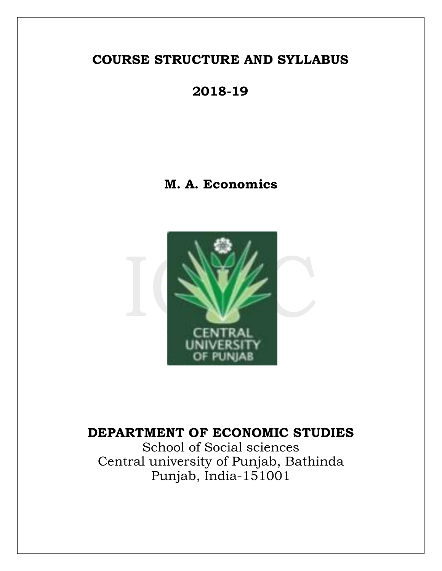# **2018-19**

## **M. A. Economics**



# **DEPARTMENT OF ECONOMIC STUDIES**

School of Social sciences Central university of Punjab, Bathinda Punjab, India-151001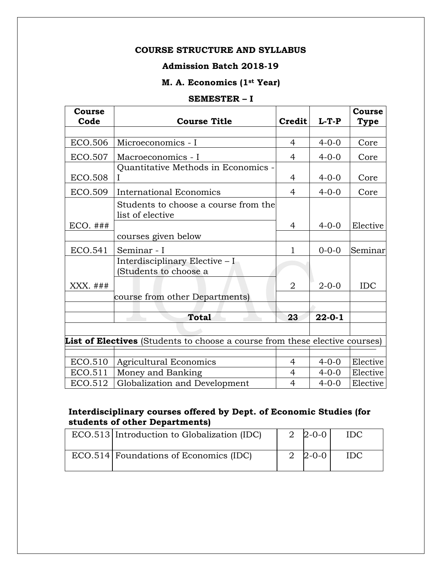### **Admission Batch 2018-19**

### **M. A. Economics (1st Year)**

#### **SEMESTER – I**

| Course         |                                                                             |                |              | Course     |
|----------------|-----------------------------------------------------------------------------|----------------|--------------|------------|
| Code           | <b>Course Title</b>                                                         | Credit         | $L-T-P$      | Type       |
| <b>ECO.506</b> | Microeconomics - I                                                          | $\overline{4}$ | $4 - 0 - 0$  | Core       |
| <b>ECO.507</b> | Macroeconomics - I                                                          | 4              | $4 - 0 - 0$  | Core       |
| ECO.508        | Quantitative Methods in Economics -                                         | 4              | $4 - 0 - 0$  | Core       |
| ECO.509        | International Economics                                                     | $\overline{4}$ | $4 - 0 - 0$  | Core       |
|                | Students to choose a course from the<br>list of elective                    |                |              |            |
| $ECO.$ ###     |                                                                             | 4              | $4 - 0 - 0$  | Elective   |
|                | courses given below                                                         |                |              |            |
| ECO.541        | Seminar - I                                                                 | $\mathbf{1}$   | $0 - 0 - 0$  | Seminar    |
| XXX. ###       | Interdisciplinary Elective – I<br>Students to choose a                      | $\overline{2}$ | $2 - 0 - 0$  | <b>IDC</b> |
|                | course from other Departments)                                              |                |              |            |
|                |                                                                             |                |              |            |
|                | <b>Total</b>                                                                | 23             | $22 - 0 - 1$ |            |
|                |                                                                             |                |              |            |
|                | List of Electives (Students to choose a course from these elective courses) |                |              |            |
|                |                                                                             |                |              |            |
| ECO.510        | <b>Agricultural Economics</b>                                               | $\overline{4}$ | $4 - 0 - 0$  | Elective   |
| ECO.511        | Money and Banking                                                           | $\overline{4}$ | $4 - 0 - 0$  | Elective   |
| ECO.512        | Globalization and Development                                               | $\overline{4}$ | $4 - 0 - 0$  | Elective   |

### **Interdisciplinary courses offered by Dept. of Economic Studies (for students of other Departments)**

| ECO.513 Introduction to Globalization (IDC) | 2 $2 - 0 - 0$ | IDC. |
|---------------------------------------------|---------------|------|
| ECO.514 Foundations of Economics (IDC)      | $2 - 0 - 0$   | IDC. |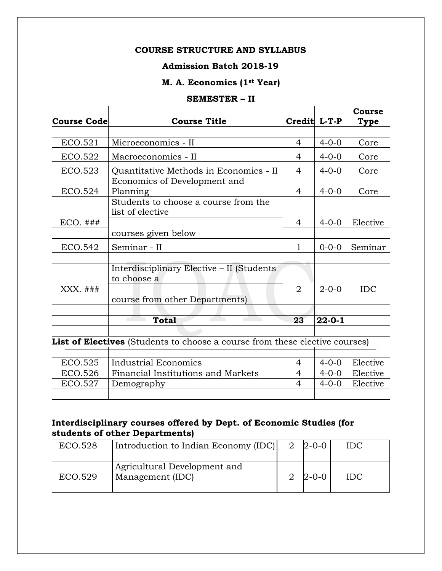### **Admission Batch 2018-19**

### **M. A. Economics (1st Year)**

#### **SEMESTER – II**

|                    |                                                                             |                |              | Course   |
|--------------------|-----------------------------------------------------------------------------|----------------|--------------|----------|
| <b>Course Code</b> | <b>Course Title</b>                                                         | Credit L-T-P   |              | Type     |
|                    |                                                                             |                |              |          |
| ECO.521            | Microeconomics - II                                                         | 4              | $4 - 0 - 0$  | Core     |
| ECO.522            | Macroeconomics - II                                                         | 4              | $4 - 0 - 0$  | Core     |
| ECO.523            | Quantitative Methods in Economics - II                                      | 4              | $4 - 0 - 0$  | Core     |
|                    | Economics of Development and                                                |                |              |          |
| ECO.524            | Planning                                                                    | 4              | $4 - 0 - 0$  | Core     |
|                    | Students to choose a course from the<br>list of elective                    |                |              |          |
| $ECO.$ ###         |                                                                             | 4              | $4 - 0 - 0$  | Elective |
|                    | courses given below                                                         |                |              |          |
| ECO.542            | Seminar - II                                                                | $\mathbf{1}$   | $0 - 0 - 0$  | Seminar  |
|                    |                                                                             |                |              |          |
|                    | Interdisciplinary Elective - II (Students                                   |                |              |          |
|                    | to choose a                                                                 |                |              |          |
| XXX. ###           |                                                                             | $\overline{2}$ | $2 - 0 - 0$  | IDC      |
|                    | course from other Departments)                                              |                |              |          |
|                    |                                                                             |                |              |          |
|                    | <b>Total</b>                                                                | 23             | $22 - 0 - 1$ |          |
|                    |                                                                             |                |              |          |
|                    | List of Electives (Students to choose a course from these elective courses) |                |              |          |
|                    |                                                                             |                |              |          |
| <b>ECO.525</b>     | <b>Industrial Economics</b>                                                 | 4              | $4 - 0 - 0$  | Elective |
| ECO.526            | Financial Institutions and Markets                                          | 4              | $4 - 0 - 0$  | Elective |
| <b>ECO.527</b>     | Demography                                                                  | 4              | $4 - 0 - 0$  | Elective |
|                    |                                                                             |                |              |          |

### **Interdisciplinary courses offered by Dept. of Economic Studies (for students of other Departments)**

| ECO.528 | Introduction to Indian Economy (IDC)             | $2\,$ 2-0-0 | <b>IDC</b> |
|---------|--------------------------------------------------|-------------|------------|
| ECO.529 | Agricultural Development and<br>Management (IDC) | $2\,$ 2-0-0 | <b>IDC</b> |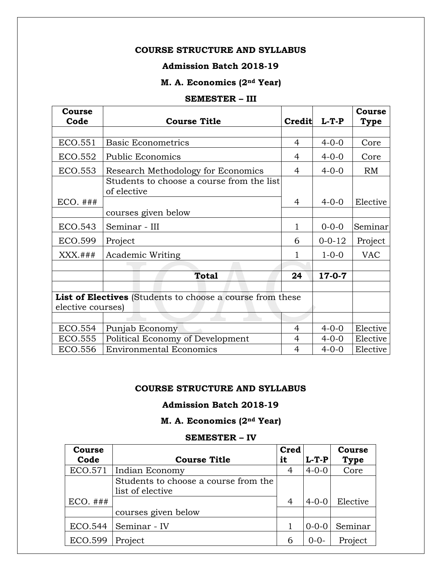### **Admission Batch 2018-19**

### **M. A. Economics (2nd Year)**

#### **SEMESTER – III**

| Course            |                                                                  |                |              | <b>Course</b> |
|-------------------|------------------------------------------------------------------|----------------|--------------|---------------|
| Code              | <b>Course Title</b>                                              | Credit         | $L-T-P$      | Type          |
|                   |                                                                  |                |              |               |
| ECO.551           | <b>Basic Econometrics</b>                                        | $\overline{4}$ | $4 - 0 - 0$  | Core          |
| ECO.552           | <b>Public Economics</b>                                          | 4              | $4 - 0 - 0$  | Core          |
| <b>ECO.553</b>    | Research Methodology for Economics                               | 4              | $4 - 0 - 0$  | RM            |
|                   | Students to choose a course from the list<br>of elective         |                |              |               |
| $ECO.$ ###        |                                                                  | 4              | $4 - 0 - 0$  | Elective      |
|                   | courses given below                                              |                |              |               |
| <b>ECO.543</b>    | Seminar - III                                                    | 1              | $0 - 0 - 0$  | Seminar       |
| ECO.599           | Project                                                          | 6              | $0 - 0 - 12$ | Project       |
| $XXX.*$           | Academic Writing                                                 | 1              | $1 - 0 - 0$  | <b>VAC</b>    |
|                   |                                                                  |                |              |               |
|                   | <b>Total</b>                                                     | 24             | $17 - 0 - 7$ |               |
|                   |                                                                  |                |              |               |
|                   | <b>List of Electives</b> (Students to choose a course from these |                |              |               |
| elective courses) |                                                                  |                |              |               |
|                   |                                                                  |                |              |               |
| <b>ECO.554</b>    | Punjab Economy                                                   | 4              | $4 - 0 - 0$  | Elective      |
| <b>ECO.555</b>    | Political Economy of Development                                 | 4              | $4 - 0 - 0$  | Elective      |
| ECO.556           | <b>Environmental Economics</b>                                   | 4              | $4 - 0 - 0$  | Elective      |

#### **COURSE STRUCTURE AND SYLLABUS**

### **Admission Batch 2018-19**

### **M. A. Economics (2nd Year)**

#### **SEMESTER – IV**

| <b>Course</b>  |                                      | <b>Cred</b> |             | Course      |
|----------------|--------------------------------------|-------------|-------------|-------------|
| Code           | <b>Course Title</b>                  | it          | $L-T-P$     | <b>Type</b> |
| ECO.571        | Indian Economy                       | 4           | $4 - 0 - 0$ | Core        |
|                | Students to choose a course from the |             |             |             |
|                | list of elective                     |             |             |             |
| $ECO.$ ###     |                                      | 4           | $4 - 0 - 0$ | Elective    |
|                | courses given below                  |             |             |             |
| <b>ECO.544</b> | Seminar - IV                         |             | $0 - 0 - 0$ | Seminar     |
| <b>ECO.599</b> | Project                              | 6           | $0 - 0 -$   | Project     |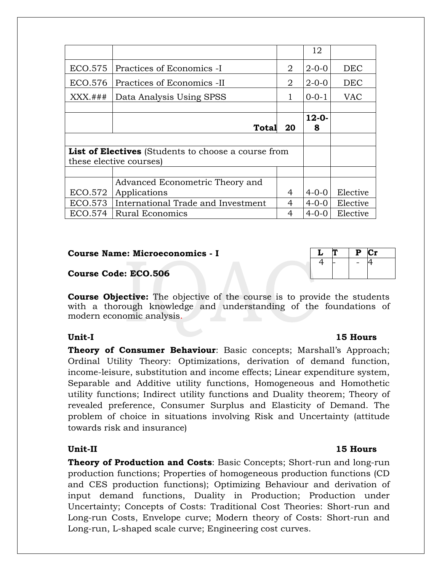|                |                                                     |    | 12          |            |
|----------------|-----------------------------------------------------|----|-------------|------------|
| <b>ECO.575</b> | Practices of Economics -I                           | 2  | $2 - 0 - 0$ | <b>DEC</b> |
| ECO.576        | Practices of Economics -II                          | 2  | $2 - 0 - 0$ | <b>DEC</b> |
| $XXX.*$        | Data Analysis Using SPSS                            |    | $0 - 0 - 1$ | <b>VAC</b> |
|                |                                                     |    |             |            |
|                |                                                     |    | $12 - 0 -$  |            |
|                | Total                                               | 20 | 8           |            |
|                |                                                     |    |             |            |
|                | List of Electives (Students to choose a course from |    |             |            |
|                | these elective courses)                             |    |             |            |
|                |                                                     |    |             |            |
|                | Advanced Econometric Theory and                     |    |             |            |
| ECO.572        | Applications                                        | 4  | $4 - 0 - 0$ | Elective   |
| ECO.573        | International Trade and Investment                  |    | $4 - 0 - 0$ | Elective   |
| <b>ECO.574</b> | Rural Economics                                     |    | $4 - 0 - 0$ | Elective   |

#### **Course Name: Microeconomics - I**

#### **Course Code: ECO.506**

**Course Objective:** The objective of the course is to provide the students with a thorough knowledge and understanding of the foundations of modern economic analysis.

**Theory of Consumer Behaviour**: Basic concepts; Marshall's Approach; Ordinal Utility Theory: Optimizations, derivation of demand function, income-leisure, substitution and income effects; Linear expenditure system, Separable and Additive utility functions, Homogeneous and Homothetic utility functions; Indirect utility functions and Duality theorem; Theory of revealed preference, Consumer Surplus and Elasticity of Demand. The problem of choice in situations involving Risk and Uncertainty (attitude towards risk and insurance)

**Theory of Production and Costs**: Basic Concepts; Short-run and long-run production functions; Properties of homogeneous production functions (CD and CES production functions); Optimizing Behaviour and derivation of input demand functions, Duality in Production; Production under Uncertainty; Concepts of Costs: Traditional Cost Theories: Short-run and Long-run Costs, Envelope curve; Modern theory of Costs: Short-run and Long-run, L-shaped scale curve; Engineering cost curves.

#### **Unit-I 15 Hours**

|  | u | æ<br>۰, |
|--|---|---------|
|  |   |         |
|  |   |         |
|  |   |         |
|  |   |         |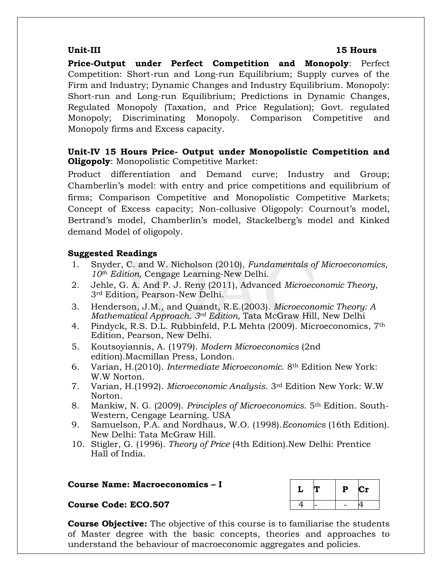#### **Unit-III 15 Hours**

**Price-Output under Perfect Competition and Monopoly**: Perfect Competition: Short-run and Long-run Equilibrium; Supply curves of the Firm and Industry; Dynamic Changes and Industry Equilibrium. Monopoly: Short-run and Long-run Equilibrium; Predictions in Dynamic Changes, Regulated Monopoly (Taxation, and Price Regulation); Govt. regulated Monopoly; Discriminating Monopoly. Comparison Competitive and Monopoly firms and Excess capacity.

### **Unit-IV 15 Hours Price- Output under Monopolistic Competition and Oligopoly**: Monopolistic Competitive Market:

Product differentiation and Demand curve; Industry and Group; Chamberlin's model: with entry and price competitions and equilibrium of firms; Comparison Competitive and Monopolistic Competitive Markets; Concept of Excess capacity; Non-collusive Oligopoly: Cournout's model, Bertrand's model, Chamberlin's model, Stackelberg's model and Kinked demand Model of oligopoly.

### **Suggested Readings**

- 1. Snyder, C. and W. Nicholson (2010), *Fundamentals of Microeconomics, 10th Edition,* Cengage Learning-New Delhi.
- 2. Jehle, G. A. And P. J. Reny (2011), Advanced *Microeconomic Theory*, 3rd Edition, Pearson-New Delhi.
- 3. Henderson, J.M., and Quandt, R.E.(2003). *Microeconomic Theory: A Mathematical Approach. 3rd Edition,* Tata McGraw Hill, New Delhi
- 4. Pindyck, R.S. D.L. Rubbinfeld, P.L Mehta (2009). Microeconomics, 7th Edition, Pearson, New Delhi.
- 5. Koutsoyiannis, A. (1979). *Modern Microeconomics* (2nd edition).Macmillan Press, London.
- 6. Varian, H.(2010). *Intermediate Microeconomic*. 8th Edition New York: W.W Norton.
- 7. Varian, H.(1992). *Microeconomic Analysis*. 3rd Edition New York: W.W Norton.
- 8. Mankiw, N. G. (2009). *Principles of Microeconomics*. 5th Edition. South-Western, Cengage Learning. USA
- 9. Samuelson, P.A. and Nordhaus, W.O. (1998).*Economics* (16th Edition). New Delhi: Tata McGraw Hill.
- 10. Stigler, G. (1996). *Theory of Price* (4th Edition).New Delhi: Prentice Hall of India.

#### **Course Name: Macroeconomics – I**

#### **Course Code: ECO.507**

|  | $\mathbf P$ | $\mathop{\rm Cr}\nolimits$ |
|--|-------------|----------------------------|
|  |             |                            |

**Course Objective:** The objective of this course is to familiarise the students of Master degree with the basic concepts, theories and approaches to understand the behaviour of macroeconomic aggregates and policies.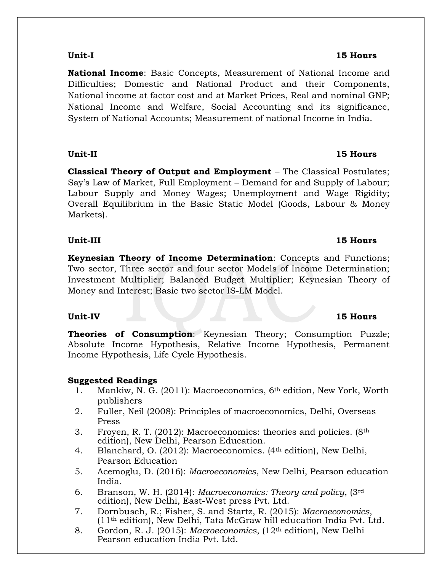**National Income**: Basic Concepts, Measurement of National Income and Difficulties; Domestic and National Product and their Components, National income at factor cost and at Market Prices, Real and nominal GNP; National Income and Welfare, Social Accounting and its significance, System of National Accounts; Measurement of national Income in India.

**Classical Theory of Output and Employment** – The Classical Postulates; Say's Law of Market, Full Employment – Demand for and Supply of Labour; Labour Supply and Money Wages; Unemployment and Wage Rigidity; Overall Equilibrium in the Basic Static Model (Goods, Labour & Money Markets).

### **Unit-III 15 Hours**

**Keynesian Theory of Income Determination**: Concepts and Functions; Two sector, Three sector and four sector Models of Income Determination; Investment Multiplier; Balanced Budget Multiplier; Keynesian Theory of Money and Interest; Basic two sector IS-LM Model.

**Theories of Consumption**: Keynesian Theory; Consumption Puzzle; Absolute Income Hypothesis, Relative Income Hypothesis, Permanent Income Hypothesis, Life Cycle Hypothesis.

### **Suggested Readings**

- 1. Mankiw, N. G. (2011): Macroeconomics, 6th edition, New York, Worth publishers
- 2. Fuller, Neil (2008): Principles of macroeconomics, Delhi, Overseas Press
- 3. Froyen, R. T. (2012): Macroeconomics: theories and policies. (8th edition), New Delhi, Pearson Education.
- 4. Blanchard, O. (2012): Macroeconomics. (4th edition), New Delhi, Pearson Education
- 5. Acemoglu, D. (2016): *Macroeconomics*, New Delhi, Pearson education India.
- 6. Branson, W. H. (2014): *Macroeconomics: Theory and policy*, (3rd edition), New Delhi, East-West press Pvt. Ltd.
- 7. Dornbusch, R.; Fisher, S. and Startz, R. (2015): *Macroeconomics*, (11th edition), New Delhi, Tata McGraw hill education India Pvt. Ltd.
- 8. Gordon, R. J. (2015): *Macroeconomics*, (12th edition), New Delhi Pearson education India Pvt. Ltd.

### **Unit-IV 15 Hours**

#### **Unit-I 15 Hours**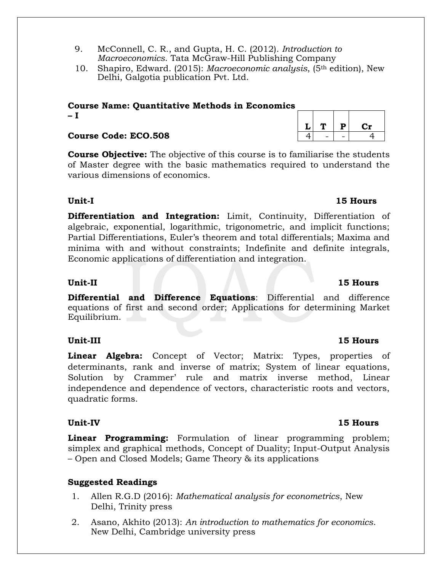- 9. McConnell, C. R., and Gupta, H. C. (2012). *Introduction to Macroeconomics*. Tata McGraw-Hill Publishing Company
- 10. Shapiro, Edward. (2015): *Macroeconomic analysis*, (5th edition), New Delhi, Galgotia publication Pvt. Ltd.

### **Course Name: Quantitative Methods in Economics – I**

### **Course Code: ECO.508** 4

**Course Objective:** The objective of this course is to familiarise the students of Master degree with the basic mathematics required to understand the various dimensions of economics.

### **Unit-I 15 Hours**

**Differentiation and Integration:** Limit, Continuity, Differentiation of algebraic, exponential, logarithmic, trigonometric, and implicit functions; Partial Differentiations, Euler's theorem and total differentials; Maxima and minima with and without constraints; Indefinite and definite integrals, Economic applications of differentiation and integration.

**Differential and Difference Equations**: Differential and difference equations of first and second order; Applications for determining Market Equilibrium.

### **Unit-III 15 Hours**

**Linear Algebra:** Concept of Vector; Matrix: Types, properties of determinants, rank and inverse of matrix; System of linear equations, Solution by Crammer' rule and matrix inverse method, Linear independence and dependence of vectors, characteristic roots and vectors, quadratic forms.

### **Unit-IV 15 Hours**

**Linear Programming:** Formulation of linear programming problem; simplex and graphical methods, Concept of Duality; Input-Output Analysis – Open and Closed Models; Game Theory & its applications

### **Suggested Readings**

- 1. Allen R.G.D (2016): *Mathematical analysis for econometrics*, New Delhi, Trinity press
- 2. Asano, Akhito (2013): *An introduction to mathematics for economics*. New Delhi, Cambridge university press

# $L | T | P | Cr$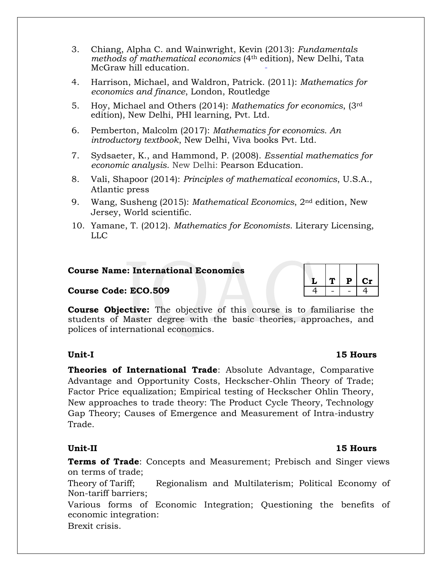- 3. Chiang, Alpha C. and Wainwright, Kevin (2013): *Fundamentals methods of mathematical economics* (4th edition), New Delhi, Tata McGraw hill education.
- 4. Harrison, Michael, and Waldron, Patrick. (2011): *Mathematics for economics and finance*, London, Routledge
- 5. Hoy, Michael and Others (2014): *Mathematics for economics*, (3rd edition), New Delhi, PHI learning, Pvt. Ltd.
- 6. Pemberton, Malcolm (2017): *Mathematics for economics. An introductory textbook*, New Delhi, Viva books Pvt. Ltd.
- 7. Sydsaeter, K., and Hammond, P. (2008). *Essential mathematics for economic analysis*. New Delhi: Pearson Education.
- 8. Vali, Shapoor (2014): *Principles of mathematical economics*, U.S.A., Atlantic press
- 9. Wang, Susheng (2015): *Mathematical Economics*, 2nd edition, New Jersey, World scientific.
- 10. Yamane, T. (2012). *Mathematics for Economists*. Literary Licensing, LLC

#### **Course Name: International Economics**

#### **Course Code: ECO.509**

**Course Objective:** The objective of this course is to familiarise the students of Master degree with the basic theories, approaches, and polices of international economics.

**Theories of International Trade**: Absolute Advantage, Comparative Advantage and Opportunity Costs, Heckscher-Ohlin Theory of Trade; Factor Price equalization; Empirical testing of Heckscher Ohlin Theory, New approaches to trade theory: The Product Cycle Theory, Technology Gap Theory; Causes of Emergence and Measurement of Intra-industry Trade.

**Terms of Trade**: Concepts and Measurement; Prebisch and Singer views on terms of trade;

Theory of Tariff; Regionalism and Multilaterism; Political Economy of Non-tariff barriers;

Various forms of Economic Integration; Questioning the benefits of economic integration:

Brexit crisis.

### **Unit-I 15 Hours**

|            | . | P | Сr |
|------------|---|---|----|
| $\epsilon$ |   |   | 4  |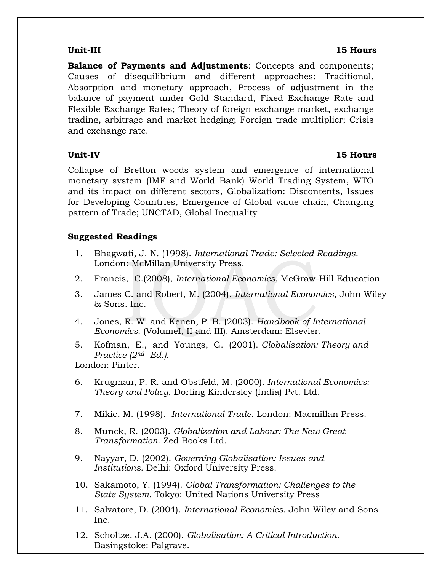**Balance of Payments and Adjustments**: Concepts and components; Causes of disequilibrium and different approaches: Traditional, Absorption and monetary approach, Process of adjustment in the balance of payment under Gold Standard, Fixed Exchange Rate and Flexible Exchange Rates; Theory of foreign exchange market, exchange trading, arbitrage and market hedging; Foreign trade multiplier; Crisis and exchange rate.

Collapse of Bretton woods system and emergence of international monetary system (IMF and World Bank) World Trading System, WTO and its impact on different sectors, Globalization: Discontents, Issues for Developing Countries, Emergence of Global value chain, Changing pattern of Trade; UNCTAD, Global Inequality

### **Suggested Readings**

- 1. Bhagwati, J. N. (1998). *International Trade: Selected Readings*. London: McMillan University Press.
- 2. Francis, C.(2008), *International Economics*, McGraw-Hill Education
- 3. James C. and Robert, M. (2004). *International Economics*, John Wiley & Sons. Inc.
- 4. Jones, R. W. and Kenen, P. B. (2003). *Handbook of International Economics*. (VolumeI, II and III). Amsterdam: Elsevier.
- 5. Kofman, E., and Youngs, G. (2001). *Globalisation: Theory and Practice (2nd Ed.).*

London: Pinter.

- 6. Krugman, P. R. and Obstfeld, M. (2000). *International Economics: Theory and Policy*, Dorling Kindersley (India) Pvt. Ltd.
- 7. Mikic, M. (1998). *International Trade*. London: Macmillan Press.
- 8. Munck, R. (2003). *Globalization and Labour: The New Great Transformation*. Zed Books Ltd.
- 9. Nayyar, D. (2002). *Governing Globalisation: Issues and Institutions.* Delhi: Oxford University Press.
- 10. Sakamoto, Y. (1994). *Global Transformation: Challenges to the State System*. Tokyo: United Nations University Press
- 11. Salvatore, D. (2004). *International Economics*. John Wiley and Sons Inc.
- 12. Scholtze, J.A. (2000). *Globalisation: A Critical Introduction*. Basingstoke: Palgrave.

### **Unit-III 15 Hours**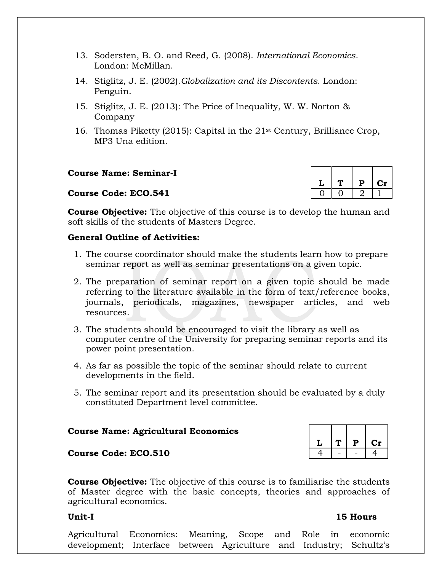- 13. Sodersten, B. O. and Reed, G. (2008). *International Economics*. London: McMillan.
- 14. Stiglitz, J. E. (2002).*Globalization and its Discontents*. London: Penguin.
- 15. Stiglitz, J. E. (2013): The Price of Inequality, W. W. Norton & Company
- 16. Thomas Piketty (2015): Capital in the  $21^{st}$  Century, Brilliance Crop, MP3 Una edition.

**Course Name: Seminar-I**

#### **Course Code: ECO.541**

|  | P | Cr |
|--|---|----|
|  |   |    |

**Course Objective:** The objective of this course is to develop the human and soft skills of the students of Masters Degree.

#### **General Outline of Activities:**

- 1. The course coordinator should make the students learn how to prepare seminar report as well as seminar presentations on a given topic.
- 2. The preparation of seminar report on a given topic should be made referring to the literature available in the form of text/reference books, journals, periodicals, magazines, newspaper articles, and web resources.
- 3. The students should be encouraged to visit the library as well as computer centre of the University for preparing seminar reports and its power point presentation.
- 4. As far as possible the topic of the seminar should relate to current developments in the field.
- 5. The seminar report and its presentation should be evaluated by a duly constituted Department level committee.

#### **Course Name: Agricultural Economics**

#### **Course Code: ECO.510** 4 - 4 - 4

**Course Objective:** The objective of this course is to familiarise the students of Master degree with the basic concepts, theories and approaches of agricultural economics.

#### **Unit-I 15 Hours**

Agricultural Economics: Meaning, Scope and Role in economic development; Interface between Agriculture and Industry; Schultz's

# $L |T | P | Cr$

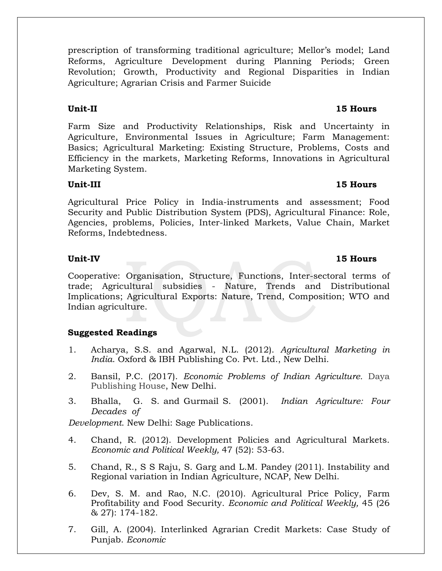prescription of transforming traditional agriculture; Mellor's model; Land Reforms, Agriculture Development during Planning Periods; Green Revolution; Growth, Productivity and Regional Disparities in Indian Agriculture; Agrarian Crisis and Farmer Suicide

Farm Size and Productivity Relationships, Risk and Uncertainty in Agriculture, Environmental Issues in Agriculture; Farm Management: Basics; Agricultural Marketing: Existing Structure, Problems, Costs and Efficiency in the markets, Marketing Reforms, Innovations in Agricultural Marketing System.

### **Unit-III 15 Hours**

Agricultural Price Policy in India-instruments and assessment; Food Security and Public Distribution System (PDS), Agricultural Finance: Role, Agencies, problems, Policies, Inter-linked Markets, Value Chain, Market Reforms, Indebtedness.

Cooperative: Organisation, Structure, Functions, Inter-sectoral terms of trade; Agricultural subsidies - Nature, Trends and Distributional Implications; Agricultural Exports: Nature, Trend, Composition; WTO and Indian agriculture.

### **Suggested Readings**

- 1. Acharya, S.S. and Agarwal, N.L. (2012). *Agricultural Marketing in India*. Oxford & IBH Publishing Co. Pvt. Ltd., New Delhi.
- 2. Bansil, P.C. (2017). *Economic Problems of Indian Agriculture.* Daya Publishing House, New Delhi.
- 3. Bhalla, G. S. and Gurmail S. (2001). *Indian Agriculture: Four Decades of*

*Development*. New Delhi: Sage Publications.

- 4. Chand, R. (2012). Development Policies and Agricultural Markets. *Economic and Political Weekly,* 47 (52): 53-63.
- 5. Chand, R., S S Raju, S. Garg and L.M. Pandey (2011). Instability and Regional variation in Indian Agriculture, NCAP, New Delhi.
- 6. Dev, S. M. and Rao, N.C. (2010). Agricultural Price Policy, Farm Profitability and Food Security. *Economic and Political Weekly,* 45 (26 & 27): 174-182.
- 7. Gill, A. (2004). Interlinked Agrarian Credit Markets: Case Study of Punjab. *Economic*

# **Unit-II 15 Hours**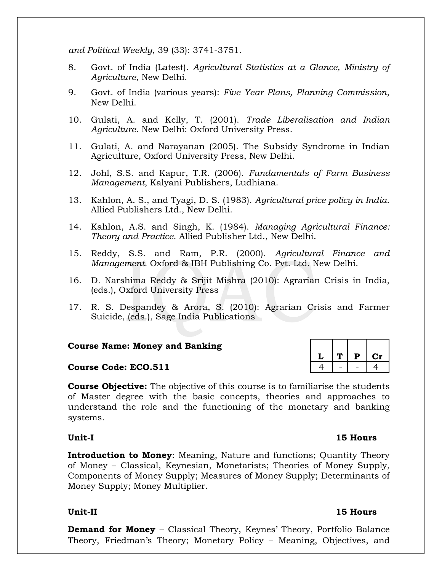*and Political Weekly*, 39 (33): 3741-3751.

- 8. Govt. of India (Latest). *Agricultural Statistics at a Glance, Ministry of Agriculture*, New Delhi.
- 9. Govt. of India (various years): *Five Year Plans, Planning Commission*, New Delhi.
- 10. Gulati, A. and Kelly, T. (2001). *Trade Liberalisation and Indian Agriculture*. New Delhi: Oxford University Press.
- 11. Gulati, A. and Narayanan (2005). The Subsidy Syndrome in Indian Agriculture, Oxford University Press, New Delhi.
- 12. Johl, S.S. and Kapur, T.R. (2006). *Fundamentals of Farm Business Management*, Kalyani Publishers, Ludhiana.
- 13. Kahlon, A. S., and Tyagi, D. S. (1983). *Agricultural price policy in India*. Allied Publishers Ltd., New Delhi.
- 14. Kahlon, A.S. and Singh, K. (1984). *Managing Agricultural Finance: Theory and Practice*. Allied Publisher Ltd., New Delhi.
- 15. Reddy, S.S. and Ram, P.R. (2000). *Agricultural Finance and Management.* Oxford & IBH Publishing Co. Pvt. Ltd. New Delhi.
- 16. D. Narshima Reddy & Srijit Mishra (2010): Agrarian Crisis in India, (eds.), Oxford University Press
- 17. R. S. Despandey & Arora, S. (2010): Agrarian Crisis and Farmer Suicide, (eds.), Sage India Publications

#### **Course Name: Money and Banking**

#### **Course Code: ECO.511**

**Course Objective:** The objective of this course is to familiarise the students of Master degree with the basic concepts, theories and approaches to understand the role and the functioning of the monetary and banking systems.

#### **Unit-I 15 Hours**

**Introduction to Money:** Meaning, Nature and functions; Quantity Theory of Money – Classical, Keynesian, Monetarists; Theories of Money Supply, Components of Money Supply; Measures of Money Supply; Determinants of Money Supply; Money Multiplier.

### **Unit-II 15 Hours**

**Demand for Money** – Classical Theory, Keynes' Theory, Portfolio Balance Theory, Friedman's Theory; Monetary Policy – Meaning, Objectives, and

| T | $\mathbf{p}$ | Сr |
|---|--------------|----|
|   |              |    |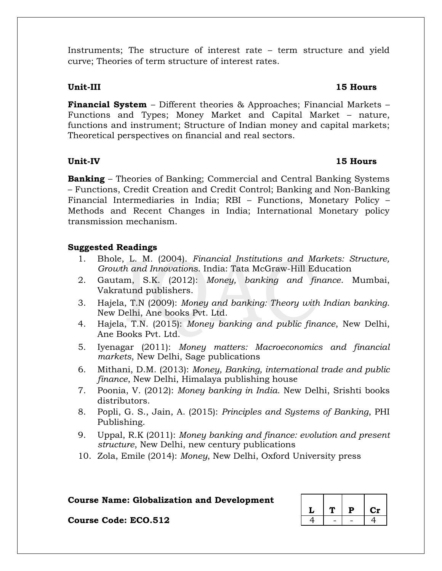Instruments; The structure of interest rate – term structure and yield curve; Theories of term structure of interest rates.

### **Unit-III 15 Hours**

**Financial System** – Different theories & Approaches; Financial Markets – Functions and Types; Money Market and Capital Market – nature, functions and instrument; Structure of Indian money and capital markets; Theoretical perspectives on financial and real sectors.

### **Unit-IV 15 Hours**

**Banking** – Theories of Banking; Commercial and Central Banking Systems – Functions, Credit Creation and Credit Control; Banking and Non-Banking Financial Intermediaries in India; RBI – Functions, Monetary Policy – Methods and Recent Changes in India; International Monetary policy transmission mechanism.

### **Suggested Readings**

- 1. Bhole, L. M. (2004). *Financial Institutions and Markets: Structure, Growth and Innovations*. India: Tata McGraw-Hill Education
- 2. Gautam, S.K. (2012): *Money, banking and finance*. Mumbai, Vakratund publishers.
- 3. Hajela, T.N (2009): *Money and banking: Theory with Indian banking*. New Delhi, Ane books Pvt. Ltd.
- 4. Hajela, T.N. (2015): *Money banking and public finance*, New Delhi, Ane Books Pvt. Ltd.
- 5. Iyenagar (2011): *Money matters: Macroeconomics and financial markets*, New Delhi, Sage publications
- 6. Mithani, D.M. (2013): *Money, Banking, international trade and public finance*, New Delhi, Himalaya publishing house
- 7. Poonia, V. (2012): *Money banking in India*. New Delhi, Srishti books distributors.
- 8. Popli, G. S., Jain, A. (2015): *Principles and Systems of Banking*, PHI Publishing.
- 9. Uppal, R.K (2011): *Money banking and finance: evolution and present structure*, New Delhi, new century publications
- 10. Zola, Emile (2014): *Money*, New Delhi, Oxford University press

### **Course Name: Globalization and Development**

|  | D | $\mathbf{cr}$ |
|--|---|---------------|
|  |   |               |

**Course Code: ECO.512**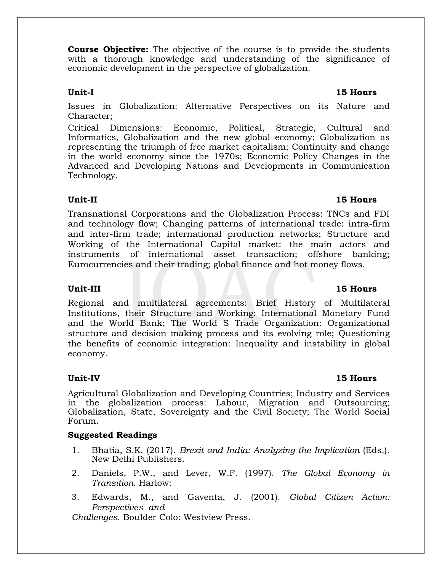**Course Objective:** The objective of the course is to provide the students with a thorough knowledge and understanding of the significance of economic development in the perspective of globalization.

Issues in Globalization: Alternative Perspectives on its Nature and Character;

Critical Dimensions: Economic, Political, Strategic, Cultural and Informatics, Globalization and the new global economy: Globalization as representing the triumph of free market capitalism; Continuity and change in the world economy since the 1970s; Economic Policy Changes in the Advanced and Developing Nations and Developments in Communication Technology.

### **Unit-II 15 Hours**

Transnational Corporations and the Globalization Process: TNCs and FDI and technology flow; Changing patterns of international trade: intra-firm and inter-firm trade; international production networks; Structure and Working of the International Capital market: the main actors and instruments of international asset transaction; offshore banking; Eurocurrencies and their trading; global finance and hot money flows.

Regional and multilateral agreements: Brief History of Multilateral Institutions, their Structure and Working: International Monetary Fund and the World Bank; The World S Trade Organization: Organizational structure and decision making process and its evolving role; Questioning the benefits of economic integration: Inequality and instability in global economy.

Agricultural Globalization and Developing Countries; Industry and Services in the globalization process: Labour, Migration and Outsourcing; Globalization, State, Sovereignty and the Civil Society; The World Social Forum.

### **Suggested Readings**

- 1. Bhatia, S.K. (2017). *Brexit and India: Analyzing the Implication* (Eds.). New Delhi Publishers.
- 2. Daniels, P.W., and Lever, W.F. (1997). *The Global Economy in Transition.* Harlow:
- 3. Edwards, M., and Gaventa, J. (2001). *Global Citizen Action: Perspectives and*

*Challenges*. Boulder Colo: Westview Press.

### **Unit-III 15 Hours**

### **Unit-IV 15 Hours**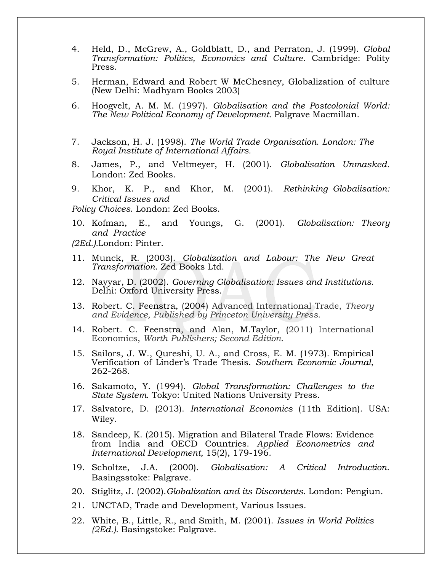- 4. Held, D., McGrew, A., Goldblatt, D., and Perraton, J. (1999). *Global Transformation: Politics, Economics and Culture*. Cambridge: Polity Press.
- 5. Herman, Edward and Robert W McChesney, Globalization of culture (New Delhi: Madhyam Books 2003)
- 6. Hoogvelt, A. M. M. (1997). *Globalisation and the Postcolonial World: The New Political Economy of Development.* Palgrave Macmillan.
- 7. Jackson, H. J. (1998). *The World Trade Organisation. London: The Royal Institute of International Affairs.*
- 8. James, P., and Veltmeyer, H. (2001). *Globalisation Unmasked.* London: Zed Books.
- 9. Khor, K. P., and Khor, M. (2001). *Rethinking Globalisation: Critical Issues and*

*Policy Choices*. London: Zed Books.

10. Kofman, E., and Youngs, G. (2001). *Globalisation: Theory and Practice*

*(2Ed.).*London: Pinter.

- 11. Munck, R. (2003). *Globalization and Labour: The New Great Transformation*. Zed Books Ltd.
- 12. Nayyar, D. (2002). *Governing Globalisation: Issues and Institutions.* Delhi: Oxford University Press.
- 13. Robert. C. Feenstra, (2004) Advanced International Trade, *Theory and Evidence, Published by Princeton University Press.*
- 14. Robert. C. Feenstra, and Alan, M.Taylor, (2011) International Economics, *Worth Publishers; Second Edition.*
- 15. Sailors, J. W., Qureshi, U. A., and Cross, E. M. (1973). Empirical Verification of Linder's Trade Thesis. *Southern Economic Journal*, 262-268.
- 16. Sakamoto, Y. (1994). *Global Transformation: Challenges to the State System*. Tokyo: United Nations University Press.
- 17. Salvatore, D. (2013). *International Economics* (11th Edition). USA: Wiley.
- 18. Sandeep, K. (2015). Migration and Bilateral Trade Flows: Evidence from India and OECD Countries. *Applied Econometrics and International Development,* 15(2), 179-196.
- 19. Scholtze, J.A. (2000). *Globalisation: A Critical Introduction*. Basingsstoke: Palgrave.
- 20. Stiglitz, J. (2002).*Globalization and its Discontents*. London: Pengiun.
- 21. UNCTAD, Trade and Development, Various Issues.
- 22. White, B., Little, R., and Smith, M. (2001). *Issues in World Politics (2Ed.).* Basingstoke: Palgrave.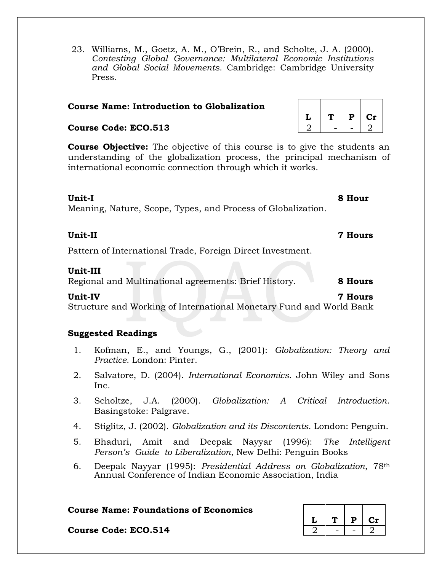23. Williams, M., Goetz, A. M., O'Brein, R., and Scholte, J. A. (2000). *Contesting Global Governance: Multilateral Economic Institutions and Global Social Movements*. Cambridge: Cambridge University Press.

#### **Course Name: Introduction to Globalization**

#### **Course Code: ECO.513**

**Course Objective:** The objective of this course is to give the students an understanding of the globalization process, the principal mechanism of international economic connection through which it works.

#### **Unit-I 8 Hour**

Meaning, Nature, Scope, Types, and Process of Globalization.

Pattern of International Trade, Foreign Direct Investment.

#### **Unit-III**

Regional and Multinational agreements: Brief History. **8 Hours**

**Unit-IV 7 Hours** Structure and Working of International Monetary Fund and World Bank

### **Suggested Readings**

- 1. Kofman, E., and Youngs, G., (2001): *Globalization: Theory and Practice*. London: Pinter.
- 2. Salvatore, D. (2004). *International Economics*. John Wiley and Sons Inc.
- 3. Scholtze, J.A. (2000). *Globalization: A Critical Introduction*. Basingstoke: Palgrave.
- 4. Stiglitz, J. (2002). *Globalization and its Discontents*. London: Penguin.
- 5. Bhaduri, Amit and Deepak Nayyar (1996): *The Intelligent Person's Guide to Liberalization*, New Delhi: Penguin Books
- 6. Deepak Nayyar (1995): *Presidential Address on Globalization*, 78th Annual Conference of Indian Economic Association, India

#### **Course Name: Foundations of Economics**

|  | P | Сr |
|--|---|----|
|  |   |    |

**Course Code: ECO.514** 

| ι, | Р | Сr |
|----|---|----|
|    |   |    |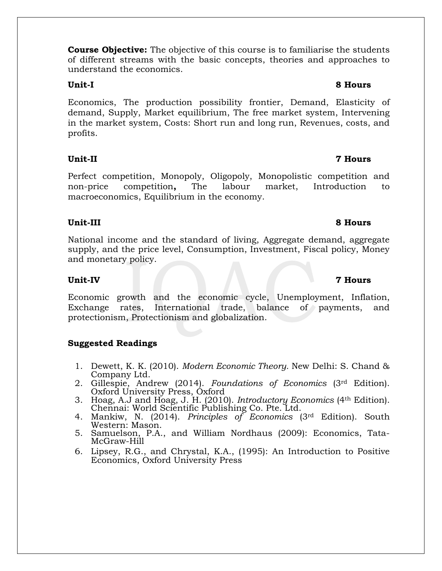**Course Objective:** The objective of this course is to familiarise the students of different streams with the basic concepts, theories and approaches to understand the economics.

Economics, The production possibility frontier, Demand, Elasticity of demand, Supply, Market equilibrium, The free market system, Intervening in the market system, Costs: Short run and long run, Revenues, costs, and profits.

### **Unit-II 7 Hours**

Perfect competition, Monopoly, Oligopoly, Monopolistic competition and non-price competition**,** The labour market, Introduction to macroeconomics, Equilibrium in the economy.

### **Unit-III 8 Hours**

National income and the standard of living, Aggregate demand, aggregate supply, and the price level, Consumption, Investment, Fiscal policy, Money and monetary policy.

### **Unit-IV 7 Hours**

Economic growth and the economic cycle, Unemployment, Inflation, Exchange rates, International trade, balance of payments, and protectionism, Protectionism and globalization.

### **Suggested Readings**

- 1. Dewett, K. K. (2010). *Modern Economic Theory.* New Delhi: S. Chand & Company Ltd.
- 2. Gillespie, Andrew (2014). *Foundations of Economics* (3rd Edition). Oxford University Press, Oxford
- 3. Hoag, A.J and Hoag, J. H. (2010). *Introductory Economics* (4th Edition). Chennai: World Scientific Publishing Co. Pte. Ltd.
- 4. Mankiw, N. (2014). *Principles of Economics* (3rd Edition). South Western: Mason.
- 5. Samuelson, P.A., and William Nordhaus (2009): Economics, Tata-McGraw-Hill
- 6. Lipsey, R.G., and Chrystal, K.A., (1995): An Introduction to Positive Economics, Oxford University Press

### **Unit-I 8 Hours**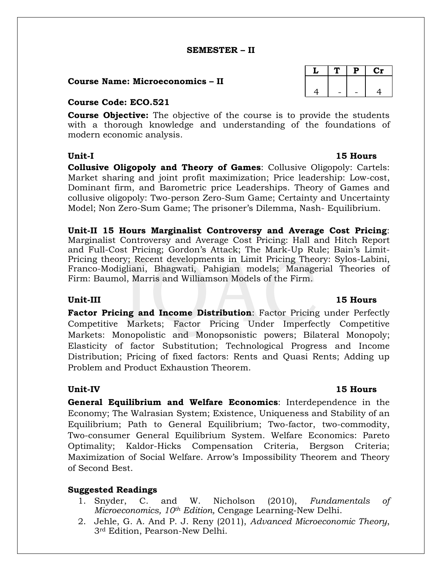#### **SEMESTER – II**

#### **Course Name: Microeconomics – II**

#### **Course Code: ECO.521**

**Course Objective:** The objective of the course is to provide the students with a thorough knowledge and understanding of the foundations of modern economic analysis.

**Collusive Oligopoly and Theory of Games**: Collusive Oligopoly: Cartels: Market sharing and joint profit maximization; Price leadership: Low-cost, Dominant firm, and Barometric price Leaderships. Theory of Games and collusive oligopoly: Two-person Zero-Sum Game; Certainty and Uncertainty Model; Non Zero-Sum Game; The prisoner's Dilemma, Nash- Equilibrium.

**Unit-II 15 Hours Marginalist Controversy and Average Cost Pricing**: Marginalist Controversy and Average Cost Pricing: Hall and Hitch Report and Full-Cost Pricing; Gordon's Attack; The Mark-Up Rule; Bain's Limit-Pricing theory; Recent developments in Limit Pricing Theory: Sylos-Labini, Franco-Modigliani, Bhagwati, Pahigian models; Managerial Theories of Firm: Baumol, Marris and Williamson Models of the Firm.

#### **Unit-III 15 Hours**

**Factor Pricing and Income Distribution**: Factor Pricing under Perfectly Competitive Markets; Factor Pricing Under Imperfectly Competitive Markets: Monopolistic and Monopsonistic powers; Bilateral Monopoly; Elasticity of factor Substitution; Technological Progress and Income Distribution; Pricing of fixed factors: Rents and Quasi Rents; Adding up Problem and Product Exhaustion Theorem.

#### **Unit-IV 15 Hours**

**General Equilibrium and Welfare Economics**: Interdependence in the Economy; The Walrasian System; Existence, Uniqueness and Stability of an Equilibrium; Path to General Equilibrium; Two-factor, two-commodity, Two-consumer General Equilibrium System. Welfare Economics: Pareto Optimality; Kaldor-Hicks Compensation Criteria, Bergson Criteria; Maximization of Social Welfare. Arrow's Impossibility Theorem and Theory of Second Best.

#### **Suggested Readings**

- 1. Snyder, C. and W. Nicholson (2010), *Fundamentals of Microeconomics, 10th Edition,* Cengage Learning-New Delhi.
- 2. Jehle, G. A. And P. J. Reny (2011), *Advanced Microeconomic Theory*, 3rd Edition, Pearson-New Delhi.

|    | D. | Ċ1 |
|----|----|----|
|    |    |    |
| Ω. |    |    |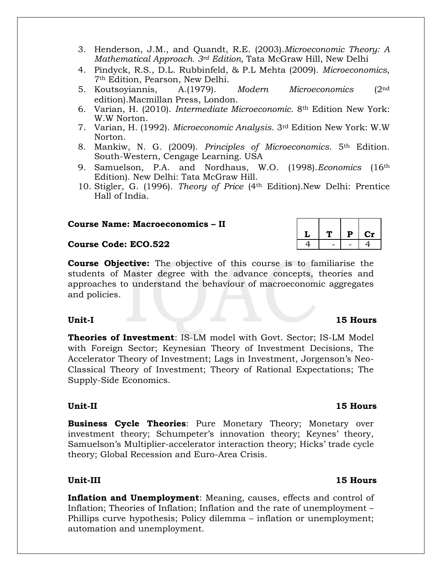- 3. Henderson, J.M., and Quandt, R.E. (2003).*Microeconomic Theory: A Mathematical Approach. 3rd Edition,* Tata McGraw Hill, New Delhi
- 4. Pindyck, R.S., D.L. Rubbinfeld, & P.L Mehta (2009). *Microeconomics*, 7th Edition, Pearson, New Delhi.
- 5. Koutsoyiannis, A.(1979). *Modern Microeconomics* (2nd edition).Macmillan Press, London.
- 6. Varian, H. (2010). *Intermediate Microeconomic*. 8th Edition New York: W.W Norton.
- 7. Varian, H. (1992). *Microeconomic Analysis*. 3rd Edition New York: W.W Norton.
- 8. Mankiw, N. G. (2009). *Principles of Microeconomics*. 5th Edition. South-Western, Cengage Learning. USA
- 9. Samuelson, P.A. and Nordhaus, W.O. (1998).*Economics* (16th Edition). New Delhi: Tata McGraw Hill.
- 10. Stigler, G. (1996). *Theory of Price* (4th Edition).New Delhi: Prentice Hall of India.

#### **Course Name: Macroeconomics – II**

#### **Course Code: ECO.522**

**Course Objective:** The objective of this course is to familiarise the students of Master degree with the advance concepts, theories and approaches to understand the behaviour of macroeconomic aggregates and policies.

**Theories of Investment**: IS-LM model with Govt. Sector; IS-LM Model with Foreign Sector; Keynesian Theory of Investment Decisions, The Accelerator Theory of Investment; Lags in Investment, Jorgenson's Neo-Classical Theory of Investment; Theory of Rational Expectations; The Supply-Side Economics.

#### **Unit-II 15 Hours**

**Business Cycle Theories**: Pure Monetary Theory; Monetary over investment theory; Schumpeter's innovation theory; Keynes' theory, Samuelson's Multiplier-accelerator interaction theory; Hicks' trade cycle theory; Global Recession and Euro-Area Crisis.

**Inflation and Unemployment**: Meaning, causes, effects and control of Inflation; Theories of Inflation; Inflation and the rate of unemployment – Phillips curve hypothesis; Policy dilemma – inflation or unemployment; automation and unemployment.

#### **Unit-I 15 Hours**

 $T$  **P**  $C$ **r**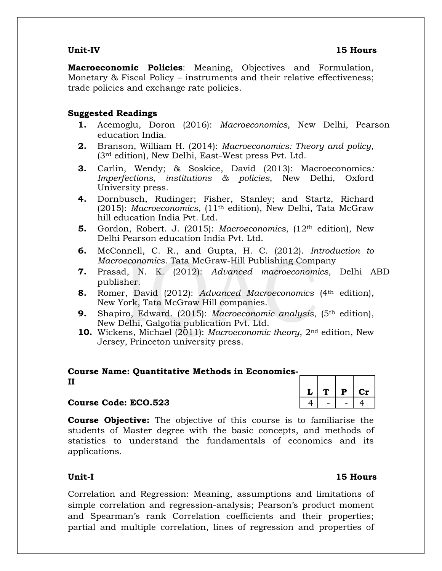**Macroeconomic Policies**: Meaning, Objectives and Formulation, Monetary & Fiscal Policy – instruments and their relative effectiveness; trade policies and exchange rate policies.

### **Suggested Readings**

- **1.** Acemoglu, Doron (2016): *Macroeconomics*, New Delhi, Pearson education India.
- **2.** Branson, William H. (2014): *Macroeconomics: Theory and policy*, (3rd edition), New Delhi, East-West press Pvt. Ltd.
- **3.** Carlin, Wendy; & Soskice, David (2013): Macroeconomics*: Imperfections, institutions & policies*, New Delhi, Oxford University press.
- **4.** Dornbusch, Rudinger; Fisher, Stanley; and Startz, Richard (2015): *Macroeconomics*, (11th edition), New Delhi, Tata McGraw hill education India Pvt. Ltd.
- **5.** Gordon, Robert. J. (2015): *Macroeconomics*, (12th edition), New Delhi Pearson education India Pvt. Ltd.
- **6.** McConnell, C. R., and Gupta, H. C. (2012). *Introduction to Macroeconomics*. Tata McGraw-Hill Publishing Company
- **7.** Prasad, N. K. (2012): *Advanced macroeconomics*, Delhi ABD publisher.
- **8.** Romer, David (2012): *Advanced Macroeconomics* (4th edition), New York, Tata McGraw Hill companies.
- **9.** Shapiro, Edward. (2015): *Macroeconomic analysis*, (5th edition), New Delhi, Galgotia publication Pvt. Ltd.
- **10.** Wickens, Michael (2011): *Macroeconomic theory*, 2nd edition, New Jersey, Princeton university press.

### **Course Name: Quantitative Methods in Economics-**

# $L$  |  $T$  |  $P$  |  $Cr$

### **Course Code: ECO.523** 4 - 4 - 4

**Course Objective:** The objective of this course is to familiarise the students of Master degree with the basic concepts, and methods of statistics to understand the fundamentals of economics and its applications.

**II**

Correlation and Regression: Meaning, assumptions and limitations of simple correlation and regression-analysis; Pearson's product moment and Spearman's rank Correlation coefficients and their properties; partial and multiple correlation, lines of regression and properties of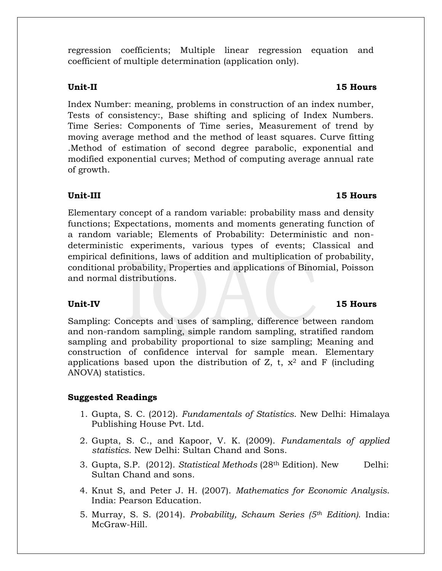regression coefficients; Multiple linear regression equation and coefficient of multiple determination (application only).

Index Number: meaning, problems in construction of an index number, Tests of consistency:, Base shifting and splicing of Index Numbers. Time Series: Components of Time series, Measurement of trend by moving average method and the method of least squares. Curve fitting .Method of estimation of second degree parabolic, exponential and modified exponential curves; Method of computing average annual rate of growth.

### **Unit-III 15 Hours**

Elementary concept of a random variable: probability mass and density functions; Expectations, moments and moments generating function of a random variable; Elements of Probability: Deterministic and nondeterministic experiments, various types of events; Classical and empirical definitions, laws of addition and multiplication of probability, conditional probability, Properties and applications of Binomial, Poisson and normal distributions.

Sampling: Concepts and uses of sampling, difference between random and non-random sampling, simple random sampling, stratified random sampling and probability proportional to size sampling; Meaning and construction of confidence interval for sample mean. Elementary applications based upon the distribution of Z, t,  $x^2$  and F (including ANOVA) statistics.

### **Suggested Readings**

- 1. Gupta, S. C. (2012). *Fundamentals of Statistics*. New Delhi: Himalaya Publishing House Pvt. Ltd.
- 2. Gupta, S. C., and Kapoor, V. K. (2009). *Fundamentals of applied statistics*. New Delhi: Sultan Chand and Sons.
- 3. Gupta, S.P. (2012). *Statistical Methods* (28th Edition). New Delhi: Sultan Chand and sons.
- 4. Knut S, and Peter J. H. (2007). *Mathematics for Economic Analysis*. India: Pearson Education.
- 5. Murray, S. S. (2014). *Probability, Schaum Series (5th Edition)*. India: McGraw-Hill.

### **Unit-II 15 Hours**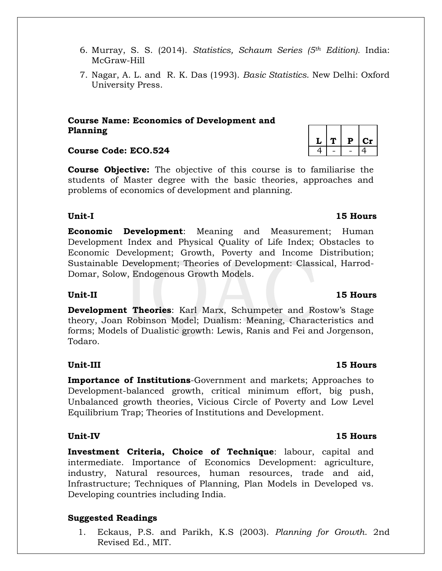- 6. Murray, S. S. (2014). *Statistics, Schaum Series (5th Edition).* India: McGraw-Hill
- 7. Nagar, A. L. and R. K. Das (1993). *Basic Statistics*. New Delhi: Oxford University Press.

### **Course Name: Economics of Development and Planning**

### **Course Code: ECO.524** 4 4 - 4 4

**Course Objective:** The objective of this course is to familiarise the students of Master degree with the basic theories, approaches and problems of economics of development and planning.

### **Unit-I 15 Hours**

**Economic Development**: Meaning and Measurement; Human Development Index and Physical Quality of Life Index; Obstacles to Economic Development; Growth, Poverty and Income Distribution; Sustainable Development; Theories of Development: Classical, Harrod-Domar, Solow, Endogenous Growth Models.

### **Unit-II 15 Hours**

**Development Theories**: Karl Marx, Schumpeter and Rostow's Stage theory, Joan Robinson Model; Dualism: Meaning, Characteristics and forms; Models of Dualistic growth: Lewis, Ranis and Fei and Jorgenson, Todaro.

### **Unit-III 15 Hours**

**Importance of Institutions**-Government and markets; Approaches to Development-balanced growth, critical minimum effort, big push, Unbalanced growth theories, Vicious Circle of Poverty and Low Level Equilibrium Trap; Theories of Institutions and Development.

**Investment Criteria, Choice of Technique**: labour, capital and intermediate. Importance of Economics Development: agriculture, industry, Natural resources, human resources, trade and aid, Infrastructure; Techniques of Planning, Plan Models in Developed vs. Developing countries including India.

### **Suggested Readings**

1. Eckaus, P.S. and Parikh, K.S (2003). *Planning for Growth*. 2nd Revised Ed., MIT.

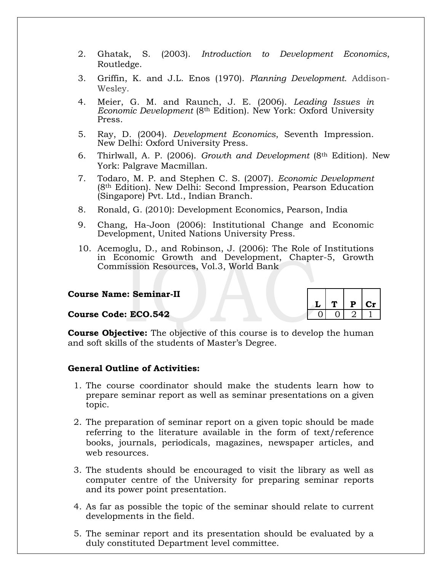- 2. Ghatak, S. (2003). *Introduction to Development Economics*, Routledge.
- 3. Griffin, K. and J.L. Enos (1970). *Planning Development.* Addison-Wesley.
- 4. Meier, G. M. and Raunch, J. E. (2006). *Leading Issues in Economic Development* (8th Edition). New York: Oxford University Press.
- 5. Ray, D. (2004). *Development Economics*, Seventh Impression. New Delhi: Oxford University Press.
- 6. Thirlwall, A. P. (2006). *Growth and Development* (8th Edition). New York: Palgrave Macmillan.
- 7. Todaro, M. P. and Stephen C. S. (2007). *Economic Development* (8th Edition). New Delhi: Second Impression, Pearson Education (Singapore) Pvt. Ltd., Indian Branch.
- 8. Ronald, G. (2010): Development Economics, Pearson, India
- 9. Chang, Ha-Joon (2006): Institutional Change and Economic Development, United Nations University Press.
- 10. Acemoglu, D., and Robinson, J. (2006): The Role of Institutions in Economic Growth and Development, Chapter-5, Growth Commission Resources, Vol.3, World Bank

#### **Course Name: Seminar-II**

#### **Course Code: ECO.542**

|  | P  | Сr |
|--|----|----|
|  | ٠, |    |

**Course Objective:** The objective of this course is to develop the human and soft skills of the students of Master's Degree.

#### **General Outline of Activities:**

- 1. The course coordinator should make the students learn how to prepare seminar report as well as seminar presentations on a given topic.
- 2. The preparation of seminar report on a given topic should be made referring to the literature available in the form of text/reference books, journals, periodicals, magazines, newspaper articles, and web resources.
- 3. The students should be encouraged to visit the library as well as computer centre of the University for preparing seminar reports and its power point presentation.
- 4. As far as possible the topic of the seminar should relate to current developments in the field.
- 5. The seminar report and its presentation should be evaluated by a duly constituted Department level committee.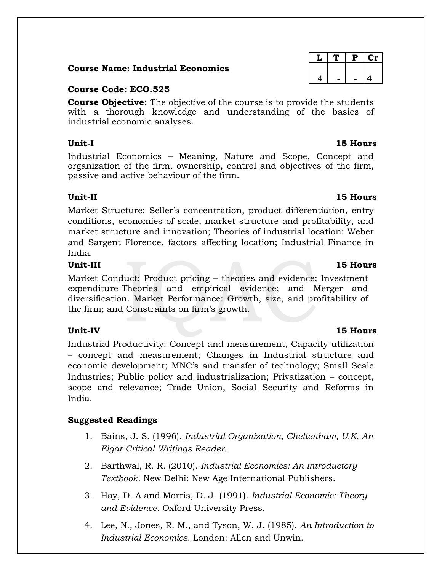#### **Course Name: Industrial Economics**

#### **Course Code: ECO.525**

**Course Objective:** The objective of the course is to provide the students with a thorough knowledge and understanding of the basics of industrial economic analyses.

Industrial Economics – Meaning, Nature and Scope, Concept and organization of the firm, ownership, control and objectives of the firm, passive and active behaviour of the firm.

Market Structure: Seller's concentration, product differentiation, entry conditions, economies of scale, market structure and profitability, and market structure and innovation; Theories of industrial location: Weber and Sargent Florence, factors affecting location; Industrial Finance in India.

### **Unit-III 15 Hours**

Market Conduct: Product pricing – theories and evidence; Investment expenditure-Theories and empirical evidence; and Merger and diversification. Market Performance: Growth, size, and profitability of the firm; and Constraints on firm's growth.

Industrial Productivity: Concept and measurement, Capacity utilization – concept and measurement; Changes in Industrial structure and economic development; MNC's and transfer of technology; Small Scale Industries; Public policy and industrialization; Privatization – concept, scope and relevance; Trade Union, Social Security and Reforms in India.

### **Suggested Readings**

- 1. Bains, J. S. (1996). *Industrial Organization, Cheltenham, U.K. An Elgar Critical Writings Reader.*
- 2. Barthwal, R. R. (2010). *Industrial Economics: An Introductory Textbook*. New Delhi: New Age International Publishers.
- 3. Hay, D. A and Morris, D. J. (1991). *Industrial Economic: Theory and Evidence*. Oxford University Press.
- 4. Lee, N., Jones, R. M., and Tyson, W. J. (1985). *An Introduction to Industrial Economics*. London: Allen and Unwin.

|   | Р |   |
|---|---|---|
|   |   |   |
| 4 |   | 4 |
|   |   |   |

#### **Unit-II 15 Hours**

### **Unit-IV 15 Hours**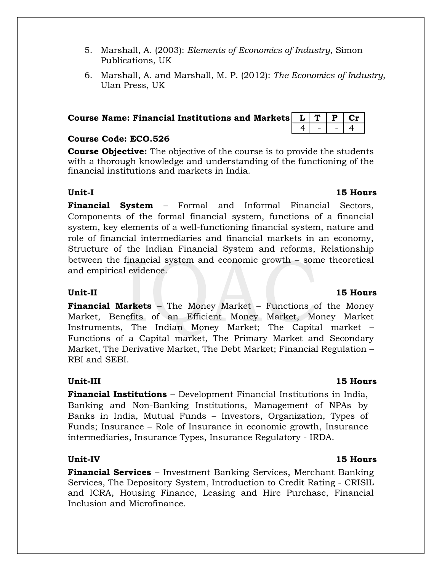- 5. Marshall, A. (2003): *Elements of Economics of Industry*, Simon Publications, UK
- 6. Marshall, A. and Marshall, M. P. (2012): *The Economics of Industry*, Ulan Press, UK

| Course Name: Financial Institutions and Markets $\boxed{L}$ $\boxed{T}$ $\boxed{P}$ $\boxed{Cr}$ |  |  |
|--------------------------------------------------------------------------------------------------|--|--|
|                                                                                                  |  |  |

#### **Course Code: ECO.526**

**Course Objective:** The objective of the course is to provide the students with a thorough knowledge and understanding of the functioning of the financial institutions and markets in India.

#### **Unit-I 15 Hours**

**Financial System** – Formal and Informal Financial Sectors, Components of the formal financial system, functions of a financial system, key elements of a well-functioning financial system, nature and role of financial intermediaries and financial markets in an economy, Structure of the Indian Financial System and reforms, Relationship between the financial system and economic growth – some theoretical and empirical evidence.

**Financial Markets** – The Money Market – Functions of the Money Market, Benefits of an Efficient Money Market, Money Market Instruments, The Indian Money Market; The Capital market – Functions of a Capital market, The Primary Market and Secondary Market, The Derivative Market, The Debt Market; Financial Regulation – RBI and SEBI.

### **Unit-III 15 Hours**

**Financial Institutions** – Development Financial Institutions in India, Banking and Non-Banking Institutions, Management of NPAs by Banks in India, Mutual Funds – Investors, Organization, Types of Funds; Insurance – Role of Insurance in economic growth, Insurance intermediaries, Insurance Types, Insurance Regulatory - IRDA.

**Financial Services** – Investment Banking Services, Merchant Banking Services, The Depository System, Introduction to Credit Rating - CRISIL and ICRA, Housing Finance, Leasing and Hire Purchase, Financial Inclusion and Microfinance.

### **Unit-II 15 Hours**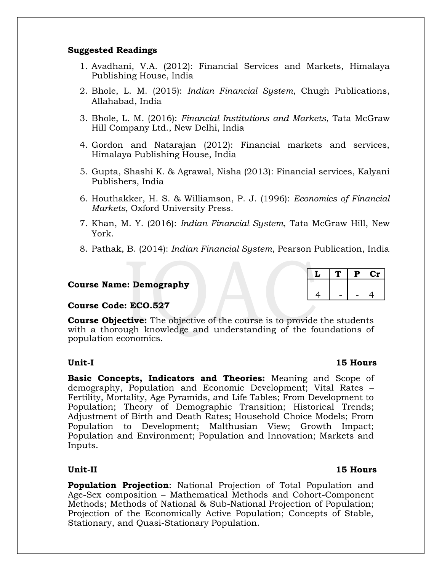#### **Suggested Readings**

- 1. Avadhani, V.A. (2012): Financial Services and Markets, Himalaya Publishing House, India
- 2. Bhole, L. M. (2015): *Indian Financial System*, Chugh Publications, Allahabad, India
- 3. Bhole, L. M. (2016): *Financial Institutions and Markets*, Tata McGraw Hill Company Ltd., New Delhi, India
- 4. Gordon and Natarajan (2012): Financial markets and services, Himalaya Publishing House, India
- 5. Gupta, Shashi K. & Agrawal, Nisha (2013): Financial services, Kalyani Publishers, India
- 6. Houthakker, H. S. & Williamson, P. J. (1996): *Economics of Financial Markets*, Oxford University Press.
- 7. Khan, M. Y. (2016): *Indian Financial System*, Tata McGraw Hill, New York.
- 8. Pathak, B. (2014): *Indian Financial System*, Pearson Publication, India

#### **Course Name: Demography**

#### **Course Code: ECO.527**

**Course Objective:** The objective of the course is to provide the students with a thorough knowledge and understanding of the foundations of population economics.

**Basic Concepts, Indicators and Theories:** Meaning and Scope of demography, Population and Economic Development; Vital Rates – Fertility, Mortality, Age Pyramids, and Life Tables; From Development to Population; Theory of Demographic Transition; Historical Trends; Adjustment of Birth and Death Rates; Household Choice Models; From Population to Development; Malthusian View; Growth Impact; Population and Environment; Population and Innovation; Markets and Inputs.

**Population Projection**: National Projection of Total Population and Age-Sex composition – Mathematical Methods and Cohort-Component Methods; Methods of National & Sub-National Projection of Population; Projection of the Economically Active Population; Concepts of Stable, Stationary, and Quasi-Stationary Population.

#### **Unit-I 15 Hours**

|   |  | C. |
|---|--|----|
|   |  |    |
| Δ |  |    |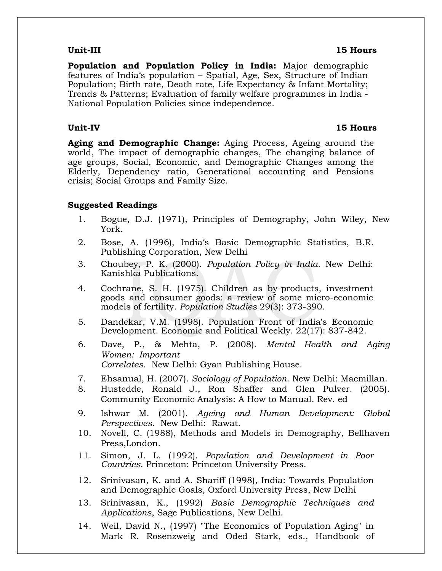#### **Unit-III 15 Hours**

**Population and Population Policy in India:** Major demographic features of India's population – Spatial, Age, Sex, Structure of Indian Population; Birth rate, Death rate, Life Expectancy & Infant Mortality; Trends & Patterns; Evaluation of family welfare programmes in India - National Population Policies since independence.

#### **Unit-IV 15 Hours**

**Aging and Demographic Change:** Aging Process, Ageing around the world, The impact of demographic changes, The changing balance of age groups, Social, Economic, and Demographic Changes among the Elderly, Dependency ratio, Generational accounting and Pensions crisis; Social Groups and Family Size.

#### **Suggested Readings**

- 1. Bogue, D.J. (1971), Principles of Demography, John Wiley, New York.
- 2. Bose, A. (1996), India's Basic Demographic Statistics, B.R. Publishing Corporation, New Delhi
- 3. Choubey, P. K. (2000). *Population Policy in India*. New Delhi: Kanishka Publications.
- 4. Cochrane, S. H. (1975). Children as by-products, investment goods and consumer goods: a review of some micro-economic models of fertility. *Population Studies* 29(3): 373-390.
- 5. Dandekar, V.M. (1998). Population Front of India's Economic Development. Economic and Political Weekly. 22(17): 837-842.
- 6. Dave, P., & Mehta, P. (2008). *Mental Health and Aging Women: Important Correlates*. New Delhi: Gyan Publishing House.
- 7. Ehsanual, H. (2007). *Sociology of Population*. New Delhi: Macmillan.
- 8. Hustedde, Ronald J., Ron Shaffer and Glen Pulver. (2005). Community Economic Analysis: A How to Manual. Rev. ed
- 9. Ishwar M. (2001). *Ageing and Human Development: Global Perspectives*. New Delhi: Rawat.
- 10. Novell, C. (1988), Methods and Models in Demography, Bellhaven Press,London.
- 11. Simon, J. L. (1992). *Population and Development in Poor Countries*. Princeton: Princeton University Press.
- 12. Srinivasan, K. and A. Shariff (1998), India: Towards Population and Demographic Goals, Oxford University Press, New Delhi
- 13. Srinivasan, K., (1992) *Basic Demographic Techniques and Applications*, Sage Publications, New Delhi.
- 14. Weil, David N., (1997) "The Economics of Population Aging" in Mark R. Rosenzweig and Oded Stark, eds., Handbook of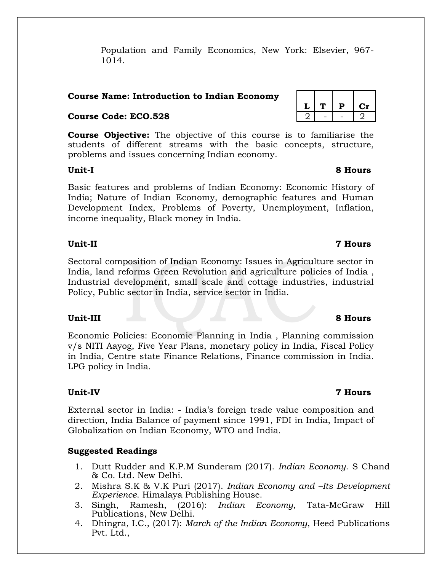Population and Family Economics, New York: Elsevier, 967- 1014.

### **Course Name: Introduction to Indian Economy**

#### **Course Code: ECO.528** 2 2 - 2

**Course Objective:** The objective of this course is to familiarise the students of different streams with the basic concepts, structure, problems and issues concerning Indian economy.

#### **Unit-I 8 Hours**

Basic features and problems of Indian Economy: Economic History of India; Nature of Indian Economy, demographic features and Human Development Index, Problems of Poverty, Unemployment, Inflation, income inequality, Black money in India.

#### **Unit-II 7 Hours**

Sectoral composition of Indian Economy: Issues in Agriculture sector in India, land reforms Green Revolution and agriculture policies of India , Industrial development, small scale and cottage industries, industrial Policy, Public sector in India, service sector in India.

### **Unit-III 8 Hours**

Economic Policies: Economic Planning in India , Planning commission v/s NITI Aayog, Five Year Plans, monetary policy in India, Fiscal Policy in India, Centre state Finance Relations, Finance commission in India. LPG policy in India.

### **Unit-IV 7 Hours**

External sector in India: - India's foreign trade value composition and direction, India Balance of payment since 1991, FDI in India, Impact of Globalization on Indian Economy, WTO and India.

### **Suggested Readings**

- 1. Dutt Rudder and K.P.M Sunderam (2017). *Indian Economy*. S Chand & Co. Ltd. New Delhi.
- 2. Mishra S.K & V.K Puri (2017). *Indian Economy and –Its Development Experience*. Himalaya Publishing House.
- 3. Singh, Ramesh, (2016): *Indian Economy*, Tata-McGraw Hill Publications, New Delhi.
- 4. Dhingra, I.C., (2017): *March of the Indian Economy*, Heed Publications Pvt. Ltd.,

 $L$  |  $T$  |  $P$  |  $Cr$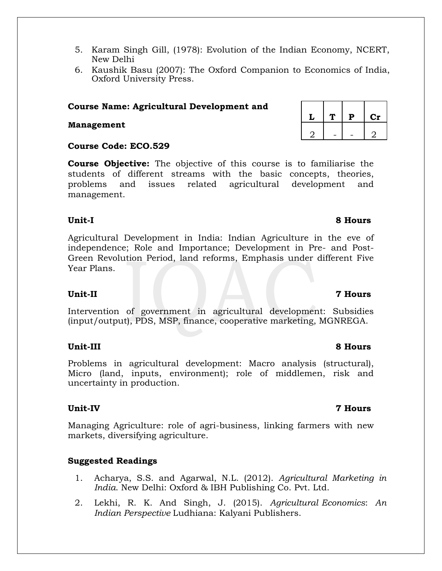- 5. Karam Singh Gill, (1978): Evolution of the Indian Economy, NCERT, New Delhi
- 6. Kaushik Basu (2007): The Oxford Companion to Economics of India, Oxford University Press.

#### **Course Name: Agricultural Development and**

#### **Management**

#### **Course Code: ECO.529**

**Course Objective:** The objective of this course is to familiarise the students of different streams with the basic concepts, theories, problems and issues related agricultural development and management.

#### **Unit-I 8 Hours**

Agricultural Development in India: Indian Agriculture in the eve of independence; Role and Importance; Development in Pre- and Post-Green Revolution Period, land reforms, Emphasis under different Five Year Plans.

Intervention of government in agricultural development: Subsidies (input/output), PDS, MSP, finance, cooperative marketing, MGNREGA.

Problems in agricultural development: Macro analysis (structural), Micro (land, inputs, environment); role of middlemen, risk and uncertainty in production.

Managing Agriculture: role of agri-business, linking farmers with new markets, diversifying agriculture.

### **Suggested Readings**

- 1. Acharya, S.S. and Agarwal, N.L. (2012). *Agricultural Marketing in India*. New Delhi: Oxford & IBH Publishing Co. Pvt. Ltd.
- 2. Lekhi, R. K. And Singh, J. (2015). *Agricultural Economics*: *An Indian Perspective* Ludhiana: Kalyani Publishers.

|  | P | $\mathbf{Cr}$ |
|--|---|---------------|
|  |   |               |

#### **Unit-II 7 Hours**

### **Unit-III 8 Hours**

### **Unit-IV 7 Hours**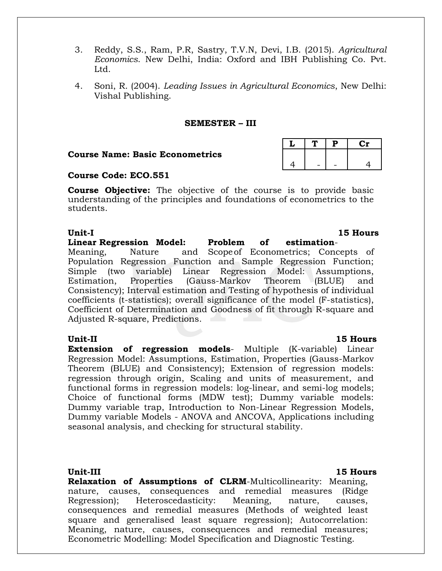- 3. Reddy, S.S., Ram, P.R, Sastry, T.V.N, Devi, I.B. (2015). *Agricultural Economics*. New Delhi, India: Oxford and IBH Publishing Co. Pvt. Ltd.
- 4. Soni, R. (2004). *Leading Issues in Agricultural Economics*, New Delhi: Vishal Publishing.

#### **SEMESTER – III**

#### **Course Name: Basic Econometrics**

#### **Course Code: ECO.551**

**Course Objective:** The objective of the course is to provide basic understanding of the principles and foundations of econometrics to the students.

**Linear Regression Model: Problem of estimation**-Meaning, Nature and Scopeof Econometrics; Concepts of Population Regression Function and Sample Regression Function; Simple (two variable) Linear Regression Model: Assumptions, Estimation, Properties (Gauss-Markov Theorem (BLUE) and Consistency); Interval estimation and Testing of hypothesis of individual coefficients (t-statistics); overall significance of the model (F-statistics), Coefficient of Determination and Goodness of fit through R-square and Adjusted R-square, Predictions.

**Extension of regression models**- Multiple (K-variable) Linear Regression Model: Assumptions, Estimation, Properties (Gauss-Markov Theorem (BLUE) and Consistency); Extension of regression models: regression through origin, Scaling and units of measurement, and functional forms in regression models: log-linear, and semi-log models; Choice of functional forms (MDW test); Dummy variable models: Dummy variable trap, Introduction to Non-Linear Regression Models, Dummy variable Models - ANOVA and ANCOVA, Applications including seasonal analysis, and checking for structural stability.

**Unit-III 15 Hours**

**Relaxation of Assumptions of CLRM**-Multicollinearity: Meaning, nature, causes, consequences and remedial measures (Ridge Regression); Heteroscedasticity: Meaning, nature, causes, consequences and remedial measures (Methods of weighted least square and generalised least square regression); Autocorrelation: Meaning, nature, causes, consequences and remedial measures; Econometric Modelling: Model Specification and Diagnostic Testing.

#### **Unit-I 15 Hours**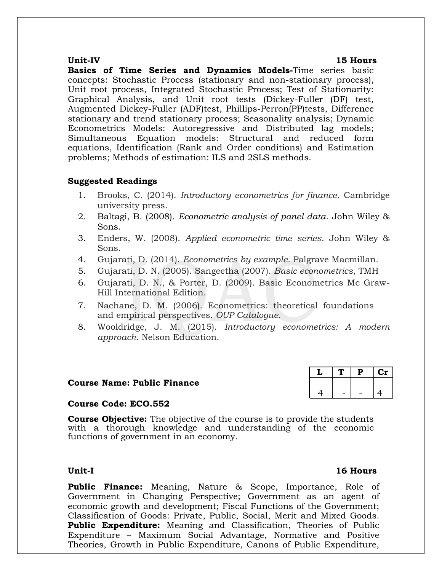#### **Unit-IV 15 Hours**

**Basics of Time Series and Dynamics Models-**Time series basic concepts: Stochastic Process (stationary and non-stationary process), Unit root process, Integrated Stochastic Process; Test of Stationarity: Graphical Analysis, and Unit root tests (Dickey-Fuller (DF) test, Augmented Dickey-Fuller (ADF)test, Phillips-Perron(PP)tests, Difference stationary and trend stationary process; Seasonality analysis; Dynamic Econometrics Models: Autoregressive and Distributed lag models; Simultaneous Equation models: Structural and reduced form equations, Identification (Rank and Order conditions) and Estimation problems; Methods of estimation: ILS and 2SLS methods.

#### **Suggested Readings**

- 1. Brooks, C. (2014). *Introductory econometrics for finance*. Cambridge university press.
- 2. Baltagi, B. (2008). *Econometric analysis of panel data*. John Wiley & Sons.
- 3. Enders, W. (2008). *Applied econometric time series*. John Wiley & Sons.
- 4. Gujarati, D. (2014). *Econometrics by example*. Palgrave Macmillan.
- 5. Gujarati, D. N. (2005). Sangeetha (2007). *Basic econometrics*, TMH
- 6. Gujarati, D. N., & Porter, D. (2009). Basic Econometrics Mc Graw-Hill International Edition.
- 7. Nachane, D. M. (2006). Econometrics: theoretical foundations and empirical perspectives. *OUP Catalogue*.
- 8. Wooldridge, J. M. (2015). *Introductory econometrics: A modern approach*. Nelson Education.

#### **Course Name: Public Finance**



### **Course Code: ECO.552**

**Course Objective:** The objective of the course is to provide the students with a thorough knowledge and understanding of the economic functions of government in an economy.

#### **Unit-I 16 Hours**

**Public Finance:** Meaning, Nature & Scope, Importance, Role of Government in Changing Perspective; Government as an agent of economic growth and development; Fiscal Functions of the Government; Classification of Goods: Private, Public, Social, Merit and Mixed Goods. **Public Expenditure:** Meaning and Classification, Theories of Public Expenditure – Maximum Social Advantage, Normative and Positive Theories, Growth in Public Expenditure, Canons of Public Expenditure,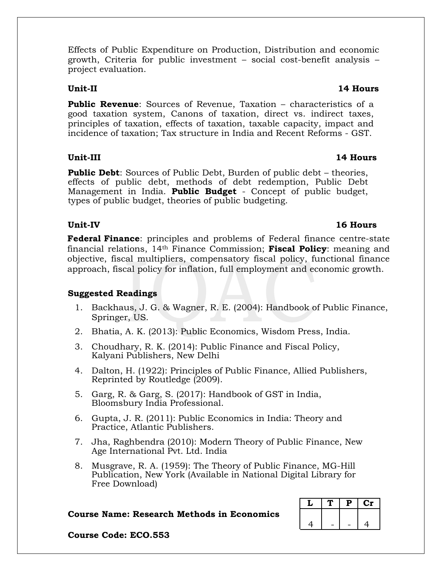Effects of Public Expenditure on Production, Distribution and economic growth, Criteria for public investment – social cost-benefit analysis – project evaluation.

**Public Revenue**: Sources of Revenue, Taxation – characteristics of a good taxation system, Canons of taxation, direct vs. indirect taxes, principles of taxation, effects of taxation, taxable capacity, impact and incidence of taxation; Tax structure in India and Recent Reforms - GST.

### **Unit-III 14 Hours**

**Public Debt**: Sources of Public Debt, Burden of public debt – theories, effects of public debt, methods of debt redemption, Public Debt Management in India. **Public Budget** - Concept of public budget, types of public budget, theories of public budgeting.

### **Federal Finance**: principles and problems of Federal finance centre-state financial relations, 14th Finance Commission; **Fiscal Policy**: meaning and objective, fiscal multipliers, compensatory fiscal policy, functional finance approach, fiscal policy for inflation, full employment and economic growth.

### **Suggested Readings**

- 1. Backhaus, J. G. & Wagner, R. E. (2004): Handbook of Public Finance, Springer, US.
- 2. Bhatia, A. K. (2013): Public Economics, Wisdom Press, India.
- 3. Choudhary, R. K. (2014): Public Finance and Fiscal Policy, Kalyani Publishers, New Delhi
- 4. Dalton, H. (1922): Principles of Public Finance, Allied Publishers, Reprinted by Routledge (2009).
- 5. Garg, R. & Garg, S. (2017): Handbook of GST in India, Bloomsbury India Professional.
- 6. Gupta, J. R. (2011): Public Economics in India: Theory and Practice, Atlantic Publishers.
- 7. Jha, Raghbendra (2010): Modern Theory of Public Finance, New Age International Pvt. Ltd. India
- 8. Musgrave, R. A. (1959): The Theory of Public Finance, MG-Hill Publication, New York (Available in National Digital Library for Free Download)

#### **Course Name: Research Methods in Economics**

|  | P | $C_{\mathcal{T}}$ |
|--|---|-------------------|
|  |   |                   |
|  |   | 4                 |

**Course Code: ECO.553**

#### **Unit-II 14 Hours**

### **Unit-IV 16 Hours**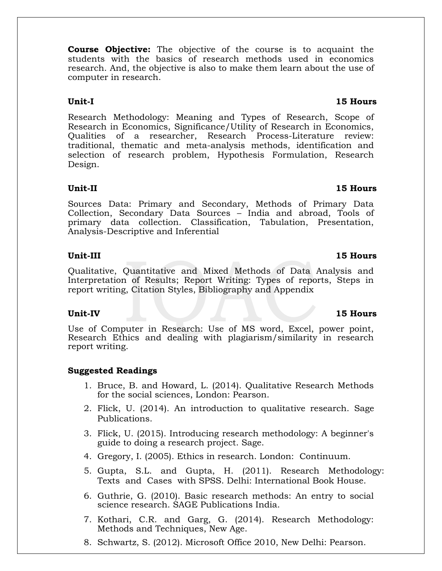**Course Objective:** The objective of the course is to acquaint the students with the basics of research methods used in economics research. And, the objective is also to make them learn about the use of computer in research.

Research Methodology: Meaning and Types of Research, Scope of Research in Economics, Significance/Utility of Research in Economics, Qualities of a researcher, Research Process-Literature review: traditional, thematic and meta-analysis methods, identification and selection of research problem, Hypothesis Formulation, Research Design.

### **Unit-II 15 Hours**

Sources Data: Primary and Secondary, Methods of Primary Data Collection, Secondary Data Sources – India and abroad, Tools of primary data collection. Classification, Tabulation, Presentation, Analysis-Descriptive and Inferential

#### **Unit-III 15 Hours**

Qualitative, Quantitative and Mixed Methods of Data Analysis and Interpretation of Results; Report Writing: Types of reports, Steps in report writing, Citation Styles, Bibliography and Appendix

Use of Computer in Research: Use of MS word, Excel, power point, Research Ethics and dealing with plagiarism/similarity in research report writing.

### **Suggested Readings**

- 1. Bruce, B. and Howard, L. (2014). Qualitative Research Methods for the social sciences, London: Pearson.
- 2. Flick, U. (2014). An introduction to qualitative research. Sage Publications.
- 3. Flick, U. (2015). Introducing research methodology: A beginner's guide to doing a research project. Sage.
- 4. Gregory, I. (2005). Ethics in research. London: Continuum.
- 5. Gupta, S.L. and Gupta, H. (2011). Research Methodology: Texts and Cases with SPSS. Delhi: International Book House.
- 6. Guthrie, G. (2010). Basic research methods: An entry to social science research. SAGE Publications India.
- 7. Kothari, C.R. and Garg, G. (2014). Research Methodology: Methods and Techniques, New Age.
- 8. Schwartz, S. (2012). Microsoft Office 2010, New Delhi: Pearson.

### **Unit-IV 15 Hours**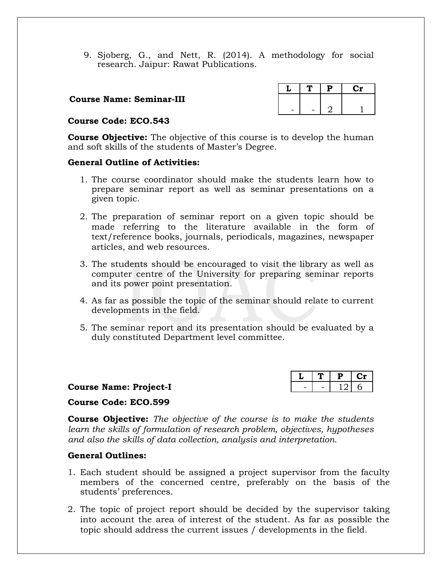9. Sjoberg, G., and Nett, R. (2014). A methodology for social research. Jaipur: Rawat Publications.

#### **Course Name: Seminar-III**

#### **Course Code: ECO.543**

**Course Objective:** The objective of this course is to develop the human and soft skills of the students of Master's Degree.

#### **General Outline of Activities:**

- 1. The course coordinator should make the students learn how to prepare seminar report as well as seminar presentations on a given topic.
- 2. The preparation of seminar report on a given topic should be made referring to the literature available in the form of text/reference books, journals, periodicals, magazines, newspaper articles, and web resources.
- 3. The students should be encouraged to visit the library as well as computer centre of the University for preparing seminar reports and its power point presentation.
- 4. As far as possible the topic of the seminar should relate to current developments in the field.
- 5. The seminar report and its presentation should be evaluated by a duly constituted Department level committee.

|  | <b>Course Name: Project-I</b> |
|--|-------------------------------|
|  |                               |

|   |   | г |  |
|---|---|---|--|
| - | - |   |  |

#### **Course Code: ECO.599**

**Course Objective:** *The objective of the course is to make the students learn the skills of formulation of research problem, objectives, hypotheses and also the skills of data collection, analysis and interpretation.*

#### **General Outlines:**

- 1. Each student should be assigned a project supervisor from the faculty members of the concerned centre, preferably on the basis of the students' preferences.
- 2. The topic of project report should be decided by the supervisor taking into account the area of interest of the student. As far as possible the topic should address the current issues / developments in the field.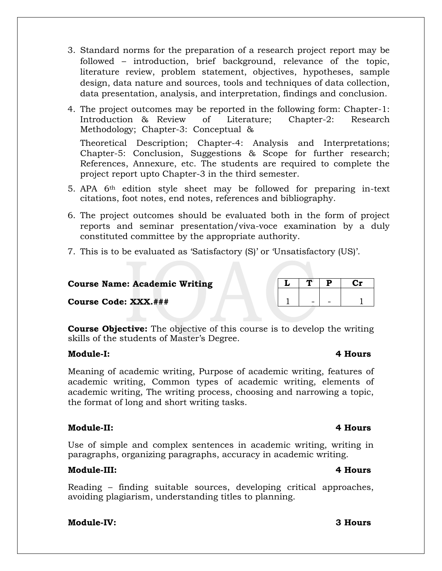- 3. Standard norms for the preparation of a research project report may be followed – introduction, brief background, relevance of the topic, literature review, problem statement, objectives, hypotheses, sample design, data nature and sources, tools and techniques of data collection, data presentation, analysis, and interpretation, findings and conclusion.
- 4. The project outcomes may be reported in the following form: Chapter-1: Introduction & Review of Literature; Chapter-2: Research Methodology; Chapter-3: Conceptual & Theoretical Description; Chapter-4: Analysis and Interpretations;

Chapter-5: Conclusion, Suggestions & Scope for further research; References, Annexure, etc. The students are required to complete the project report upto Chapter-3 in the third semester.

- 5. APA 6th edition style sheet may be followed for preparing in-text citations, foot notes, end notes, references and bibliography.
- 6. The project outcomes should be evaluated both in the form of project reports and seminar presentation/viva-voce examination by a duly constituted committee by the appropriate authority.
- 7. This is to be evaluated as 'Satisfactory (S)' or 'Unsatisfactory (US)'.

#### **Course Name: Academic Writing**  $|L|T|P$  **Cr**

**Course Code: XXX.###** 1 1 - 1 1

**Course Objective:** The objective of this course is to develop the writing skills of the students of Master's Degree.

#### **Module-I: 4 Hours**

Meaning of academic writing, Purpose of academic writing, features of academic writing, Common types of academic writing, elements of academic writing, The writing process, choosing and narrowing a topic, the format of long and short writing tasks.

### **Module-II: 4 Hours**

Use of simple and complex sentences in academic writing, writing in paragraphs, organizing paragraphs, accuracy in academic writing.

### **Module-III: 4 Hours**

Reading – finding suitable sources, developing critical approaches, avoiding plagiarism, understanding titles to planning.

### **Module-IV: 3 Hours**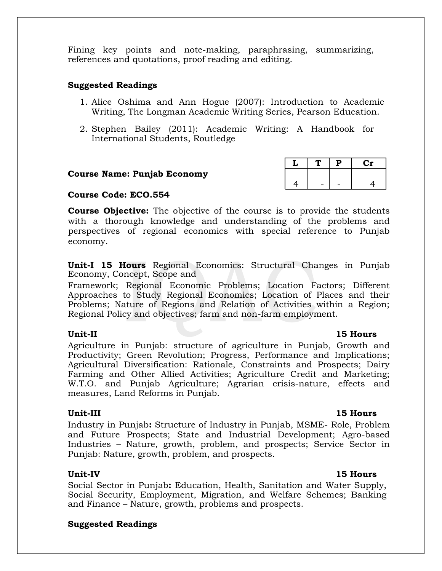Fining key points and note-making, paraphrasing, summarizing, references and quotations, proof reading and editing.

#### **Suggested Readings**

- 1. Alice Oshima and Ann Hogue (2007): Introduction to Academic Writing, The Longman Academic Writing Series, Pearson Education.
- 2. Stephen Bailey (2011): Academic Writing: A Handbook for International Students, Routledge

#### **Course Name: Punjab Economy**

#### **Course Code: ECO.554**

**Course Objective:** The objective of the course is to provide the students with a thorough knowledge and understanding of the problems and perspectives of regional economics with special reference to Punjab economy.

**Unit-I 15 Hours** Regional Economics: Structural Changes in Punjab Economy, Concept, Scope and

Framework; Regional Economic Problems; Location Factors; Different Approaches to Study Regional Economics; Location of Places and their Problems; Nature of Regions and Relation of Activities within a Region; Regional Policy and objectives; farm and non-farm employment.

### **Unit-II 15 Hours**

Agriculture in Punjab: structure of agriculture in Punjab, Growth and Productivity; Green Revolution; Progress, Performance and Implications; Agricultural Diversification: Rationale, Constraints and Prospects; Dairy Farming and Other Allied Activities; Agriculture Credit and Marketing; W.T.O. and Punjab Agriculture; Agrarian crisis-nature, effects and measures, Land Reforms in Punjab.

#### **Unit-III 15 Hours**

Industry in Punjab**:** Structure of Industry in Punjab, MSME- Role, Problem and Future Prospects; State and Industrial Development; Agro-based Industries – Nature, growth, problem, and prospects; Service Sector in Punjab: Nature, growth, problem, and prospects.

Social Sector in Punjab**:** Education, Health, Sanitation and Water Supply, Social Security, Employment, Migration, and Welfare Schemes; Banking and Finance – Nature, growth, problems and prospects.

### **Suggested Readings**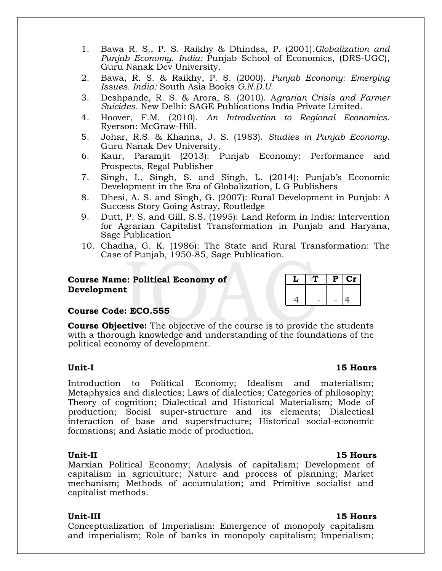- 1. Bawa R. S., P. S. Raikhy & Dhindsa, P. (2001)*.Globalization and Punjab Economy. India:* Punjab School of Economics, (DRS-UGC), Guru Nanak Dev University.
- 2. Bawa, R. S. & Raikhy, P. S. (2000). *Punjab Economy: Emerging Issues. India:* South Asia Books *G.N.D.U.*
- 3. Deshpande, R. S. & Arora, S. (2010). A*grarian Crisis and Farmer Suicides*. New Delhi: SAGE Publications India Private Limited.
- 4. Hoover, F.M. (2010). *An Introduction to Regional Economics.* Ryerson: McGraw-Hill.
- 5. Johar, R.S. & Khanna, J. S. (1983). *Studies in Punjab Economy.* Guru Nanak Dev University.
- 6. Kaur, Paramjit (2013): Punjab Economy: Performance and Prospects, Regal Publisher
- 7. Singh, I., Singh, S. and Singh, L. (2014): Punjab's Economic Development in the Era of Globalization, L G Publishers
- 8. Dhesi, A. S. and Singh, G. (2007): Rural Development in Punjab: A Success Story Going Astray, Routledge
- 9. Dutt, P. S. and Gill, S.S. (1995): Land Reform in India: Intervention for Agrarian Capitalist Transformation in Punjab and Haryana, Sage Publication
- 10. Chadha, G. K. (1986): The State and Rural Transformation: The Case of Punjab, 1950-85, Sage Publication.

#### **Course Name: Political Economy of Development**

|  | L. | $\alpha$ r |
|--|----|------------|
|  |    |            |
|  |    |            |

### **Course Code: ECO.555**

**Course Objective:** The objective of the course is to provide the students with a thorough knowledge and understanding of the foundations of the political economy of development.

Introduction to Political Economy; Idealism and materialism; Metaphysics and dialectics; Laws of dialectics; Categories of philosophy; Theory of cognition; Dialectical and Historical Materialism; Mode of production; Social super-structure and its elements; Dialectical interaction of base and superstructure; Historical social-economic formations; and Asiatic mode of production.

**Unit-II 15 Hours** Marxian Political Economy; Analysis of capitalism; Development of capitalism in agriculture; Nature and process of planning; Market mechanism; Methods of accumulation; and Primitive socialist and capitalist methods.

### **Unit-III 15 Hours**

Conceptualization of Imperialism: Emergence of monopoly capitalism and imperialism; Role of banks in monopoly capitalism; Imperialism;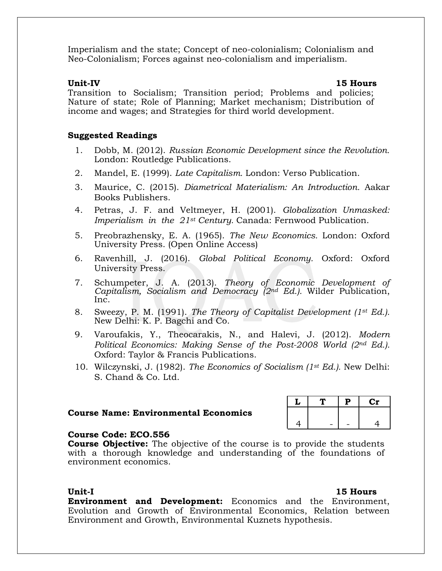Imperialism and the state; Concept of neo-colonialism; Colonialism and Neo-Colonialism; Forces against neo-colonialism and imperialism.

#### **Unit-IV 15 Hours**

Transition to Socialism; Transition period; Problems and policies; Nature of state; Role of Planning; Market mechanism; Distribution of income and wages; and Strategies for third world development.

#### **Suggested Readings**

- 1. Dobb, M. (2012). *Russian Economic Development since the Revolution.* London: Routledge Publications.
- 2. Mandel, E. (1999). *Late Capitalism.* London: Verso Publication.
- 3. Maurice, C. (2015). *Diametrical Materialism: An Introduction.* Aakar Books Publishers.
- 4. Petras, J. F. and Veltmeyer, H. (2001). *Globalization Unmasked: Imperialism in the 21st Century.* Canada: Fernwood Publication.
- 5. Preobrazhensky, E. A. (1965). *The New Economics.* London: Oxford University Press. (Open Online Access)
- 6. Ravenhill, J. (2016). *Global Political Economy.* Oxford: Oxford University Press.
- 7. Schumpeter, J. A. (2013). *Theory of Economic Development of Capitalism, Socialism and Democracy (2nd Ed.).* Wilder Publication, Inc.
- 8. Sweezy, P. M. (1991). *The Theory of Capitalist Development (1st Ed.).* New Delhi: K. P. Bagchi and Co.
- 9. Varoufakis, Y., Theocarakis, N., and Halevi, J. (2012). *Modern Political Economics: Making Sense of the Post-2008 World (2nd Ed.).*  Oxford: Taylor & Francis Publications.
- 10. Wilczynski, J. (1982). *The Economics of Socialism (1st Ed.).* New Delhi: S. Chand & Co. Ltd.

#### **Course Name: Environmental Economics**

#### **Course Code: ECO.556**

**Course Objective:** The objective of the course is to provide the students with a thorough knowledge and understanding of the foundations of environment economics.

**Environment and Development:** Economics and the Environment, Evolution and Growth of Environmental Economics, Relation between Environment and Growth, Environmental Kuznets hypothesis.

#### **Unit-I 15 Hours**

**L T P Cr**

 $|4| - |- 4|$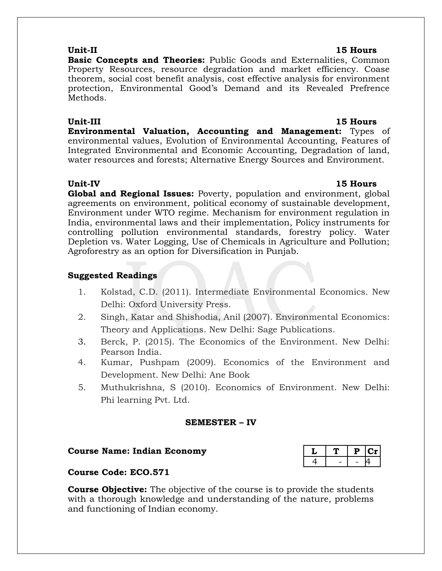**Basic Concepts and Theories:** Public Goods and Externalities, Common Property Resources, resource degradation and market efficiency. Coase theorem, social cost benefit analysis, cost effective analysis for environment protection, Environmental Good's Demand and its Revealed Prefrence Methods.

#### **Unit-III 15 Hours**

**Environmental Valuation, Accounting and Management:** Types of environmental values, Evolution of Environmental Accounting, Features of Integrated Environmental and Economic Accounting, Degradation of land, water resources and forests; Alternative Energy Sources and Environment.

**Global and Regional Issues:** Poverty, population and environment, global agreements on environment, political economy of sustainable development, Environment under WTO regime. Mechanism for environment regulation in India, environmental laws and their implementation, Policy instruments for controlling pollution environmental standards, forestry policy. Water Depletion vs. Water Logging, Use of Chemicals in Agriculture and Pollution; Agroforestry as an option for Diversification in Punjab.

#### **Suggested Readings**

- 1. Kolstad, C.D. (2011). Intermediate Environmental Economics. New Delhi: Oxford University Press.
- 2. Singh, Katar and Shishodia, Anil (2007). Environmental Economics: Theory and Applications. New Delhi: Sage Publications.
- 3. Berck, P. (2015). The Economics of the Environment. New Delhi: Pearson India.
- 4. Kumar, Pushpam (2009). Economics of the Environment and Development. New Delhi: Ane Book
- 5. Muthukrishna, S (2010). Economics of Environment. New Delhi: Phi learning Pvt. Ltd.

#### **SEMESTER – IV**

#### $C$ ourse Name: Indian Economy

### **Course Code: ECO.571**

**Course Objective:** The objective of the course is to provide the students with a thorough knowledge and understanding of the nature, problems and functioning of Indian economy.

#### **Unit-II 15 Hours**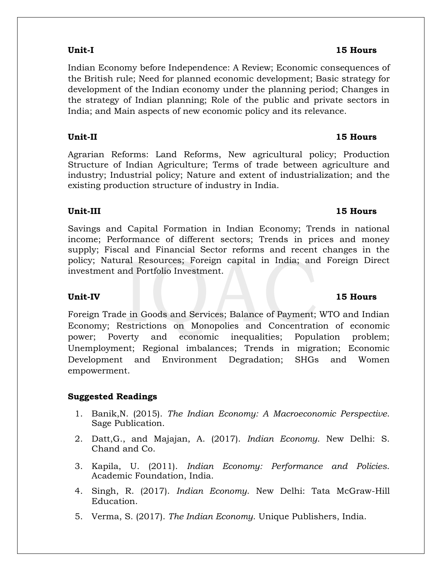### **Unit-I 15 Hours**

Indian Economy before Independence: A Review; Economic consequences of the British rule; Need for planned economic development; Basic strategy for development of the Indian economy under the planning period; Changes in the strategy of Indian planning; Role of the public and private sectors in India; and Main aspects of new economic policy and its relevance.

**Unit-II 15 Hours**

Agrarian Reforms: Land Reforms, New agricultural policy; Production Structure of Indian Agriculture; Terms of trade between agriculture and industry; Industrial policy; Nature and extent of industrialization; and the existing production structure of industry in India.

Savings and Capital Formation in Indian Economy; Trends in national income; Performance of different sectors; Trends in prices and money supply; Fiscal and Financial Sector reforms and recent changes in the policy; Natural Resources; Foreign capital in India; and Foreign Direct investment and Portfolio Investment.

### **Unit-IV 15 Hours**

Foreign Trade in Goods and Services; Balance of Payment; WTO and Indian Economy; Restrictions on Monopolies and Concentration of economic power; Poverty and economic inequalities; Population problem; Unemployment; Regional imbalances; Trends in migration; Economic Development and Environment Degradation; SHGs and Women empowerment.

### **Suggested Readings**

- 1. Banik,N. (2015). *The Indian Economy: A Macroeconomic Perspective*. Sage Publication.
- 2. Datt,G., and Majajan, A. (2017). *Indian Economy*. New Delhi: S. Chand and Co.
- 3. Kapila, U. (2011). *Indian Economy: Performance and Policies*. Academic Foundation, India.
- 4. Singh, R. (2017). *Indian Economy*. New Delhi: Tata McGraw-Hill Education.
- 5. Verma, S. (2017). *The Indian Economy*. Unique Publishers, India.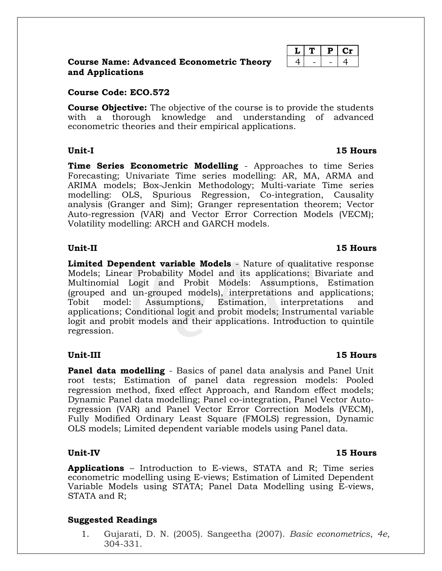|                  |  | <b>Course Name: Advanced Econometric Theory</b> |  |
|------------------|--|-------------------------------------------------|--|
| and Applications |  |                                                 |  |

#### **Course Code: ECO.572**

**Course Objective:** The objective of the course is to provide the students with a thorough knowledge and understanding of advanced econometric theories and their empirical applications.

#### **Unit-I 15 Hours**

**Time Series Econometric Modelling** - Approaches to time Series Forecasting; Univariate Time series modelling: AR, MA, ARMA and ARIMA models; Box-Jenkin Methodology; Multi-variate Time series modelling: OLS, Spurious Regression, Co-integration, Causality analysis (Granger and Sim); Granger representation theorem; Vector Auto-regression (VAR) and Vector Error Correction Models (VECM); Volatility modelling: ARCH and GARCH models.

#### **Unit-II 15 Hours**

**Limited Dependent variable Models** - Nature of qualitative response Models; Linear Probability Model and its applications; Bivariate and Multinomial Logit and Probit Models: Assumptions, Estimation (grouped and un-grouped models), interpretations and applications; Tobit model: Assumptions, Estimation, interpretations and applications; Conditional logit and probit models; Instrumental variable logit and probit models and their applications. Introduction to quintile regression.

**Panel data modelling** - Basics of panel data analysis and Panel Unit root tests; Estimation of panel data regression models: Pooled regression method, fixed effect Approach, and Random effect models; Dynamic Panel data modelling; Panel co-integration, Panel Vector Autoregression (VAR) and Panel Vector Error Correction Models (VECM), Fully Modified Ordinary Least Square (FMOLS) regression, Dynamic OLS models; Limited dependent variable models using Panel data.

#### **Unit-IV 15 Hours**

**Applications** – Introduction to E-views, STATA and R; Time series econometric modelling using E-views; Estimation of Limited Dependent Variable Models using STATA; Panel Data Modelling using E-views, STATA and R;

#### **Suggested Readings**

1. Gujarati, D. N. (2005). Sangeetha (2007). *Basic econometrics*, *4e*, 304-331.

### **Unit-III 15 Hours**

**L T P Cr** 4 - - - 4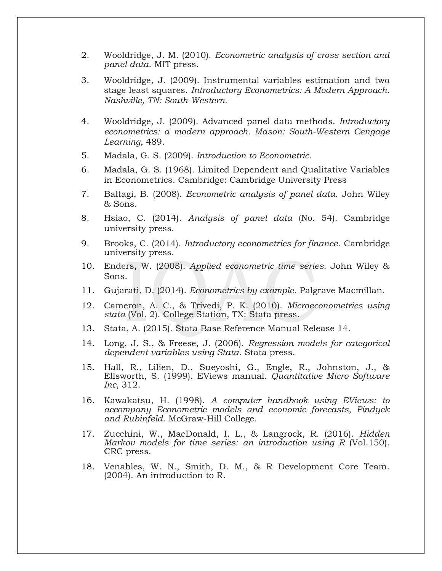- 2. Wooldridge, J. M. (2010). *Econometric analysis of cross section and panel data*. MIT press.
- 3. Wooldridge, J. (2009). Instrumental variables estimation and two stage least squares. *Introductory Econometrics: A Modern Approach. Nashville, TN: South-Western*.
- 4. Wooldridge, J. (2009). Advanced panel data methods. *Introductory econometrics: a modern approach. Mason: South-Western Cengage Learning*, 489.
- 5. Madala, G. S. (2009). *Introduction to Econometric*.
- 6. Madala, G. S. (1968). Limited Dependent and Qualitative Variables in Econometrics. Cambridge: Cambridge University Press
- 7. Baltagi, B. (2008). *Econometric analysis of panel data*. John Wiley & Sons.
- 8. Hsiao, C. (2014). *Analysis of panel data* (No. 54). Cambridge university press.
- 9. Brooks, C. (2014). *Introductory econometrics for finance*. Cambridge university press.
- 10. Enders, W. (2008). *Applied econometric time series*. John Wiley & Sons.
- 11. Gujarati, D. (2014). *Econometrics by example*. Palgrave Macmillan.
- 12. Cameron, A. C., & Trivedi, P. K. (2010). *Microeconometrics using stata* (Vol. 2). College Station, TX: Stata press.
- 13. Stata, A. (2015). Stata Base Reference Manual Release 14.
- 14. Long, J. S., & Freese, J. (2006). *Regression models for categorical dependent variables using Stata*. Stata press.
- 15. Hall, R., Lilien, D., Sueyoshi, G., Engle, R., Johnston, J., & Ellsworth, S. (1999). EViews manual. *Quantitative Micro Software Inc*, 312.
- 16. Kawakatsu, H. (1998). *A computer handbook using EViews: to accompany Econometric models and economic forecasts, Pindyck and Rubinfeld*. McGraw-Hill College.
- 17. Zucchini, W., MacDonald, I. L., & Langrock, R. (2016). *Hidden Markov models for time series: an introduction using R* (Vol.150). CRC press.
- 18. Venables, W. N., Smith, D. M., & R Development Core Team. (2004). An introduction to R.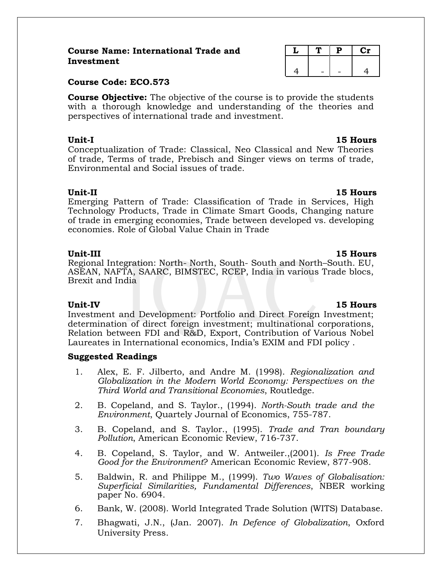#### **Course Name: International Trade and Investment**

#### **Course Code: ECO.573**

**Course Objective:** The objective of the course is to provide the students with a thorough knowledge and understanding of the theories and perspectives of international trade and investment.

**Unit-I 15 Hours** Conceptualization of Trade: Classical, Neo Classical and New Theories of trade, Terms of trade, Prebisch and Singer views on terms of trade, Environmental and Social issues of trade.

**Unit-II 15 Hours** Emerging Pattern of Trade: Classification of Trade in Services, High Technology Products, Trade in Climate Smart Goods, Changing nature of trade in emerging economies, Trade between developed vs. developing economies. Role of Global Value Chain in Trade

#### **Unit-III 15 Hours**

Regional Integration: North- North, South- South and North–South. EU, ASEAN, NAFTA, SAARC, BIMSTEC, RCEP, India in various Trade blocs, Brexit and India

Investment and Development: Portfolio and Direct Foreign Investment; determination of direct foreign investment; multinational corporations, Relation between FDI and R&D, Export, Contribution of Various Nobel Laureates in International economics, India's EXIM and FDI policy .

### **Suggested Readings**

- 1. Alex, E. F. Jilberto, and Andre M. (1998). *Regionalization and Globalization in the Modern World Economy: Perspectives on the Third World and Transitional Economies*, Routledge.
- 2. B. Copeland, and S. Taylor., (1994). *North-South trade and the Environment*, Quartely Journal of Economics, 755-787.
- 3. B. Copeland, and S. Taylor., (1995). *Trade and Tran boundary Pollution*, American Economic Review, 716-737.
- 4. B. Copeland, S. Taylor, and W. Antweiler.,(2001). *Is Free Trade Good for the Environment*? American Economic Review, 877-908.
- 5. Baldwin, R. and Philippe M., (1999). *Two Waves of Globalisation: Superficial Similarities, Fundamental Differences*, NBER working paper No. 6904.
- 6. Bank, W. (2008). World Integrated Trade Solution (WITS) Database.
- 7. Bhagwati, J.N., (Jan. 2007). *In Defence of Globalization*, Oxford University Press.

|   | P | $\mathbf{C}\mathbf{r}$ |
|---|---|------------------------|
|   |   |                        |
| Δ |   |                        |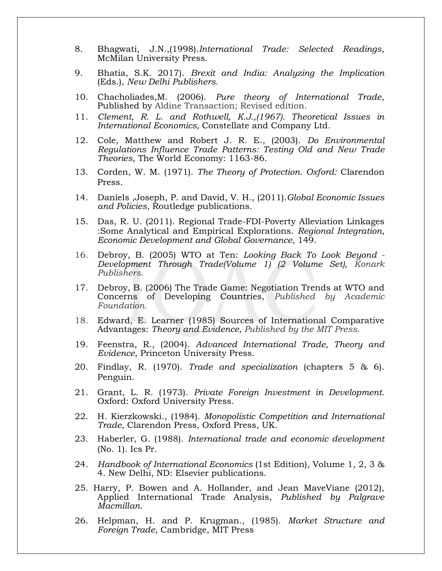- 8. Bhagwati, J.N.,(1998).*International Trade: Selected Readings*, McMilan University Press.
- 9. Bhatia, S.K. 2017). *Brexit and India: Analyzing the Implication* (Eds.), *New Delhi Publishers.*
- 10. Chacholiades,M. (2006). *Pure theory of International Trade*, Published by Aldine Transaction; Revised edition.
- 11. *Clement, R. L. and Rothwell, K.J.,(1967). Theoretical Issues in International Economics,* Constellate and Company Ltd.
- 12. Cole, Matthew and Robert J. R. E., (2003). *Do Environmental Regulations Influence Trade Patterns: Testing Old and New Trade Theories*, The World Economy: 1163-86.
- 13. Corden, W. M. (1971). *The Theory of Protection. Oxford:* Clarendon Press.
- 14. Daniels ,Joseph, P. and David, V. H., (2011).*Global Economic Issues and Policies*, Routledge publications.
- 15. Das, R. U. (2011). Regional Trade-FDI-Poverty Alleviation Linkages :Some Analytical and Empirical Explorations. *Regional Integration, Economic Development and Global Governance*, 149.
- 16. Debroy, B. (2005) WTO at Ten: *Looking Back To Look Beyond - Development Through Trade(Volume 1) (2 Volume Set), Konark Publishers*.
- 17. Debroy, B. (2006) The Trade Game: Negotiation Trends at WTO and Concerns of Developing Countries, *Published by Academic Foundation.*
- 18. Edward, E. Learner (1985) Sources of International Comparative Advantages: *Theory and Evidence, Published by the MIT Press.*
- 19. Feenstra, R., (2004). *Advanced International Trade, Theory and Evidence*, Princeton University Press.
- 20. Findlay, R. (1970). *Trade and specialization* (chapters 5 & 6). Penguin.
- 21. Grant, L. R. (1973). *Private Foreign Investment in Development.* Oxford: Oxford University Press.
- 22. H. Kierzkowski., (1984). *Monopolistic Competition and International Trade*, Clarendon Press, Oxford Press, UK.
- 23. Haberler, G. (1988). *International trade and economic development* (No. 1). Ics Pr.
- 24. *Handbook of International Economics* (1st Edition), Volume 1, 2, 3 & 4. New Delhi, ND: Elsevier publications.
- 25. Harry, P. Bowen and A. Hollander, and Jean MaveViane (2012), Applied International Trade Analysis, *Published by Palgrave Macmillan.*
- 26. Helpman, H. and P. Krugman., (1985). *Market Structure and Foreign Trade*, Cambridge, MIT Press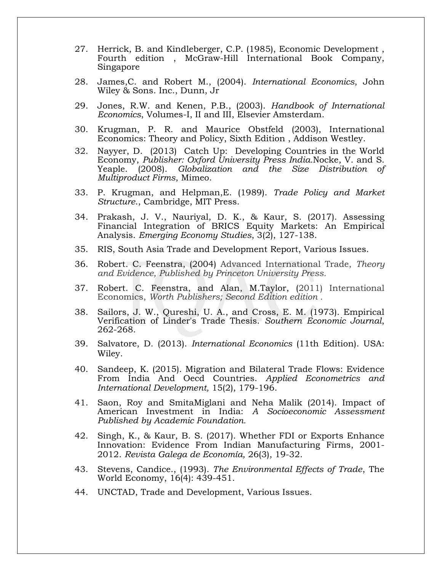- 27. Herrick, B. and Kindleberger, C.P. (1985), Economic Development , Fourth edition , McGraw-Hill International Book Company, Singapore
- 28. James,C. and Robert M., (2004). *International Economics*, John Wiley & Sons. Inc., Dunn, Jr
- 29. Jones, R.W. and Kenen, P.B., (2003). *Handbook of International Economics*, Volumes-I, II and III, Elsevier Amsterdam.
- 30. Krugman, P. R. and Maurice Obstfeld (2003), International Economics: Theory and Policy, Sixth Edition , Addison Westley.
- 32. Nayyer, D. (2013) Catch Up: Developing Countries in the World Economy, *Publisher: Oxford University Press India.*Nocke, V. and S. Yeaple. (2008). *Globalization and the Size Distribution of Multiproduct Firms*, Mimeo.
- 33. P. Krugman, and Helpman,E. (1989). *Trade Policy and Market Structure*., Cambridge, MIT Press.
- 34. Prakash, J. V., Nauriyal, D. K., & Kaur, S. (2017). Assessing Financial Integration of BRICS Equity Markets: An Empirical Analysis. *Emerging Economy Studies*, 3(2), 127-138.
- 35. RIS, South Asia Trade and Development Report, Various Issues.
- 36. Robert. C. Feenstra, (2004) Advanced International Trade, *Theory and Evidence, Published by Princeton University Press.*
- 37. Robert. C. Feenstra, and Alan, M.Taylor, (2011) International Economics, *Worth Publishers; Second Edition edition .*
- 38. Sailors, J. W., Qureshi, U. A., and Cross, E. M. (1973). Empirical Verification of Linder's Trade Thesis. *Southern Economic Journal*, 262-268.
- 39. Salvatore, D. (2013). *International Economics* (11th Edition). USA: Wiley.
- 40. Sandeep, K. (2015). Migration and Bilateral Trade Flows: Evidence From India And Oecd Countries. *Applied Econometrics and International Development,* 15(2), 179-196.
- 41. Saon, Roy and SmitaMiglani and Neha Malik (2014). Impact of American Investment in India: *A Socioeconomic Assessment Published by Academic Foundation.*
- 42. Singh, K., & Kaur, B. S. (2017). Whether FDI or Exports Enhance Innovation: Evidence From Indian Manufacturing Firms, 2001- 2012. *Revista Galega de Economía,* 26(3), 19-32.
- 43. Stevens, Candice., (1993). *The Environmental Effects of Trade*, The World Economy, 16(4): 439-451.
- 44. UNCTAD, Trade and Development, Various Issues.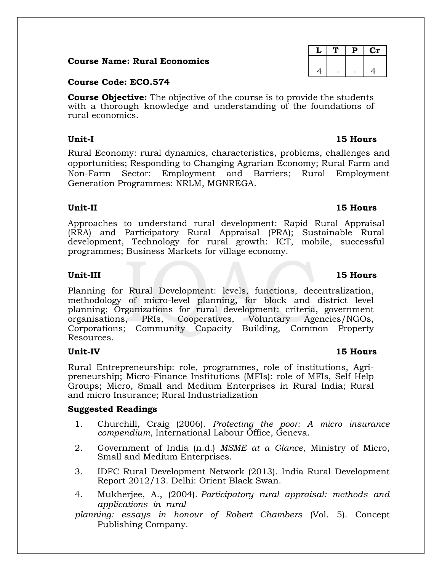#### **Course Name: Rural Economics**

#### **Course Code: ECO.574**

**Course Objective:** The objective of the course is to provide the students with a thorough knowledge and understanding of the foundations of rural economics.

Rural Economy: rural dynamics, characteristics, problems, challenges and opportunities; Responding to Changing Agrarian Economy; Rural Farm and Non-Farm Sector: Employment and Barriers; Rural Employment Generation Programmes: NRLM, MGNREGA.

#### **Unit-II 15 Hours**

Approaches to understand rural development: Rapid Rural Appraisal (RRA) and Participatory Rural Appraisal (PRA); Sustainable Rural development, Technology for rural growth: ICT, mobile, successful programmes; Business Markets for village economy.

#### **Unit-III 15 Hours**

Planning for Rural Development: levels, functions, decentralization, methodology of micro-level planning, for block and district level planning; Organizations for rural development: criteria, government organisations, PRIs, Cooperatives, Voluntary Agencies/NGOs, Corporations; Community Capacity Building, Common Property Resources.

Rural Entrepreneurship: role, programmes, role of institutions, Agripreneurship; Micro-Finance Institutions (MFIs): role of MFIs, Self Help Groups; Micro, Small and Medium Enterprises in Rural India; Rural and micro Insurance; Rural Industrialization

#### **Suggested Readings**

- 1. Churchill, Craig (2006). *Protecting the poor: A micro insurance compendium*, International Labour Office, Geneva.
- 2. Government of India (n.d.) *MSME at a Glance*, Ministry of Micro, Small and Medium Enterprises.
- 3. IDFC Rural Development Network (2013). India Rural Development Report 2012/13. Delhi: Orient Black Swan.
- 4. Mukherjee, A., (2004). *Participatory rural appraisal: methods and applications in rural*
- *planning: essays in honour of Robert Chambers* (Vol. 5). Concept Publishing Company.

# $L$  | T | P | Cr 4 | - | - | 4

### **Unit-IV 15 Hours**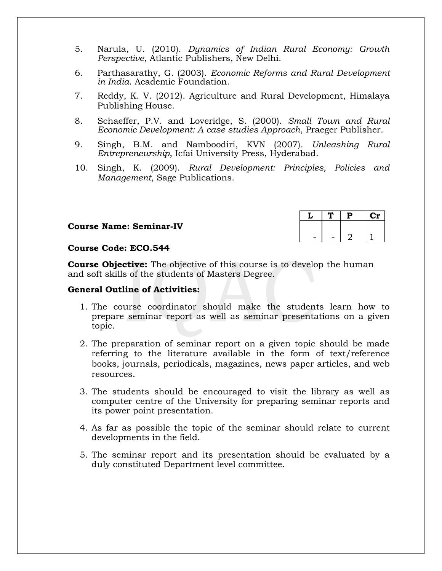- 5. Narula, U. (2010). *Dynamics of Indian Rural Economy: Growth Perspective*, Atlantic Publishers, New Delhi.
- 6. Parthasarathy, G. (2003). *Economic Reforms and Rural Development in India*. Academic Foundation.
- 7. Reddy, K. V. (2012). Agriculture and Rural Development, Himalaya Publishing House.
- 8. Schaeffer, P.V. and Loveridge, S. (2000). *Small Town and Rural Economic Development: A case studies Approach*, Praeger Publisher.
- 9. Singh, B.M. and Namboodiri, KVN (2007). *Unleashing Rural Entrepreneurship*, Icfai University Press, Hyderabad.
- 10. Singh, K. (2009). *Rural Development: Principles, Policies and Management*, Sage Publications.

#### **Course Name: Seminar-IV**

|  | P | C١ |
|--|---|----|
|  |   |    |
|  |   |    |

#### **Course Code: ECO.544**

**Course Objective:** The objective of this course is to develop the human and soft skills of the students of Masters Degree.

#### **General Outline of Activities:**

- 1. The course coordinator should make the students learn how to prepare seminar report as well as seminar presentations on a given topic.
- 2. The preparation of seminar report on a given topic should be made referring to the literature available in the form of text/reference books, journals, periodicals, magazines, news paper articles, and web resources.
- 3. The students should be encouraged to visit the library as well as computer centre of the University for preparing seminar reports and its power point presentation.
- 4. As far as possible the topic of the seminar should relate to current developments in the field.
- 5. The seminar report and its presentation should be evaluated by a duly constituted Department level committee.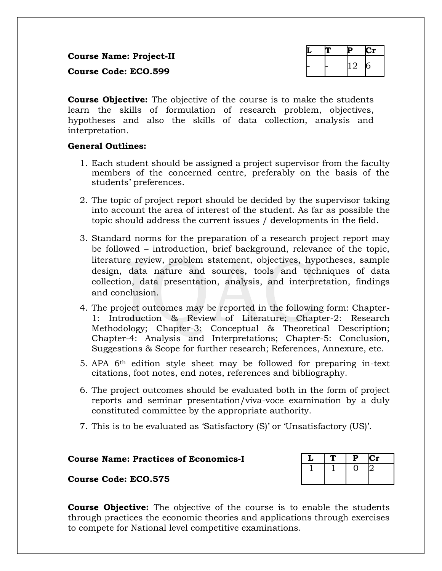**Course Name: Project-II Course Code: ECO.599**

|  | $\cup$ |  |
|--|--------|--|

**Course Objective:** The objective of the course is to make the students learn the skills of formulation of research problem, objectives, hypotheses and also the skills of data collection, analysis and interpretation.

#### **General Outlines:**

- 1. Each student should be assigned a project supervisor from the faculty members of the concerned centre, preferably on the basis of the students' preferences.
- 2. The topic of project report should be decided by the supervisor taking into account the area of interest of the student. As far as possible the topic should address the current issues / developments in the field.
- 3. Standard norms for the preparation of a research project report may be followed – introduction, brief background, relevance of the topic, literature review, problem statement, objectives, hypotheses, sample design, data nature and sources, tools and techniques of data collection, data presentation, analysis, and interpretation, findings and conclusion.
- 4. The project outcomes may be reported in the following form: Chapter-1: Introduction & Review of Literature; Chapter-2: Research Methodology; Chapter-3: Conceptual & Theoretical Description; Chapter-4: Analysis and Interpretations; Chapter-5: Conclusion, Suggestions & Scope for further research; References, Annexure, etc.
- 5. APA 6th edition style sheet may be followed for preparing in-text citations, foot notes, end notes, references and bibliography.
- 6. The project outcomes should be evaluated both in the form of project reports and seminar presentation/viva-voce examination by a duly constituted committee by the appropriate authority.
- 7. This is to be evaluated as 'Satisfactory (S)' or 'Unsatisfactory (US)'.

# **Course Name: Practices of Economics-I L T P Cr**<br>  $\frac{1}{1}$  1 0 2

**Course Code: ECO.575**



**Course Objective:** The objective of the course is to enable the students through practices the economic theories and applications through exercises to compete for National level competitive examinations.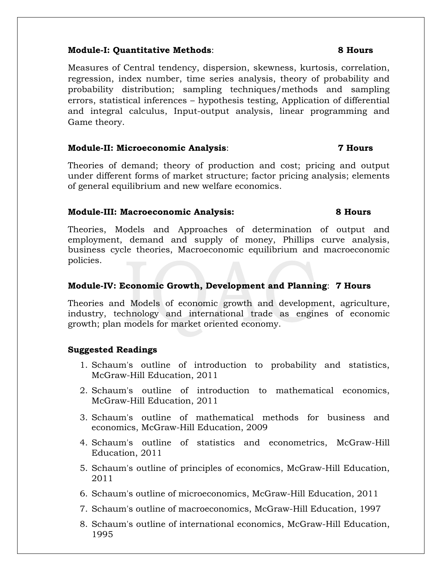#### **Module-I: Quantitative Methods**: **8 Hours**

Measures of Central tendency, dispersion, skewness, kurtosis, correlation, regression, index number, time series analysis, theory of probability and probability distribution; sampling techniques/methods and sampling errors, statistical inferences – hypothesis testing, Application of differential and integral calculus, Input-output analysis, linear programming and Game theory.

#### **Module-II: Microeconomic Analysis**: **7 Hours**

Theories of demand; theory of production and cost; pricing and output under different forms of market structure; factor pricing analysis; elements of general equilibrium and new welfare economics.

#### **Module-III: Macroeconomic Analysis: 8 Hours**

Theories, Models and Approaches of determination of output and employment, demand and supply of money, Phillips curve analysis, business cycle theories, Macroeconomic equilibrium and macroeconomic policies.

#### **Module-IV: Economic Growth, Development and Planning**: **7 Hours**

Theories and Models of economic growth and development, agriculture, industry, technology and international trade as engines of economic growth; plan models for market oriented economy.

### **Suggested Readings**

- 1. Schaum's outline of introduction to probability and statistics, McGraw-Hill Education, 2011
- 2. Schaum's outline of introduction to mathematical economics, McGraw-Hill Education, 2011
- 3. Schaum's outline of mathematical methods for business and economics, McGraw-Hill Education, 2009
- 4. Schaum's outline of statistics and econometrics, McGraw-Hill Education, 2011
- 5. Schaum's outline of principles of economics, McGraw-Hill Education, 2011
- 6. Schaum's outline of microeconomics, McGraw-Hill Education, 2011
- 7. Schaum's outline of macroeconomics, McGraw-Hill Education, 1997
- 8. Schaum's outline of international economics, McGraw-Hill Education, 1995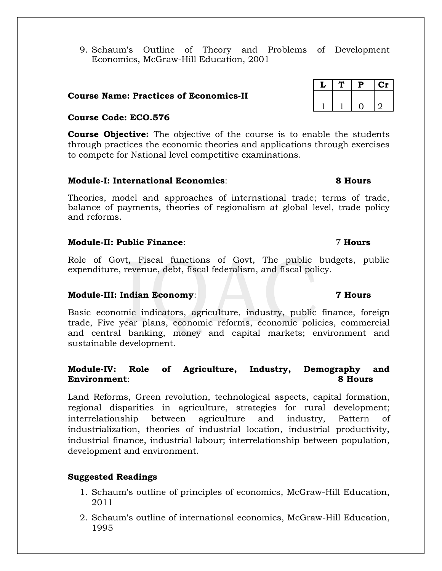9. Schaum's Outline of Theory and Problems of Development Economics, McGraw-Hill Education, 2001

#### **Course Name: Practices of Economics-II**

#### **Course Code: ECO.576**

**Course Objective:** The objective of the course is to enable the students through practices the economic theories and applications through exercises to compete for National level competitive examinations.

#### **Module-I: International Economics**: **8 Hours**

Theories, model and approaches of international trade; terms of trade, balance of payments, theories of regionalism at global level, trade policy and reforms.

#### **Module-II: Public Finance**: 7 **Hours**

Role of Govt, Fiscal functions of Govt, The public budgets, public expenditure, revenue, debt, fiscal federalism, and fiscal policy.

#### **Module-III: Indian Economy**: **7 Hours**

Basic economic indicators, agriculture, industry, public finance, foreign trade, Five year plans, economic reforms, economic policies, commercial and central banking, money and capital markets; environment and sustainable development.

### **Module-IV: Role of Agriculture, Industry, Demography and Environment**: **8 Hours**

Land Reforms, Green revolution, technological aspects, capital formation, regional disparities in agriculture, strategies for rural development; interrelationship between agriculture and industry, Pattern of industrialization, theories of industrial location, industrial productivity, industrial finance, industrial labour; interrelationship between population, development and environment.

### **Suggested Readings**

- 1. Schaum's outline of principles of economics, McGraw-Hill Education, 2011
- 2. Schaum's outline of international economics, McGraw-Hill Education, 1995

|  | Р | U1 |
|--|---|----|
|  |   |    |
|  |   |    |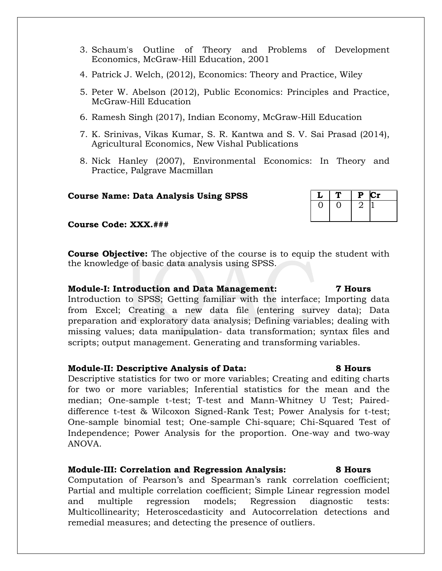- 3. Schaum's Outline of Theory and Problems of Development Economics, McGraw-Hill Education, 2001
- 4. Patrick J. Welch, (2012), Economics: Theory and Practice, Wiley
- 5. Peter W. Abelson (2012), Public Economics: Principles and Practice, McGraw-Hill Education
- 6. Ramesh Singh (2017), Indian Economy, McGraw-Hill Education
- 7. K. Srinivas, Vikas Kumar, S. R. Kantwa and S. V. Sai Prasad (2014), Agricultural Economics, New Vishal Publications
- 8. Nick Hanley (2007), Environmental Economics: In Theory and Practice, Palgrave Macmillan

#### **Course Name: Data Analysis Using SPSS L T P Cr**

**Course Code: XXX.###**

**Course Objective:** The objective of the course is to equip the student with the knowledge of basic data analysis using SPSS.

#### **Module-I: Introduction and Data Management: 7 Hours**

Introduction to SPSS; Getting familiar with the interface; Importing data from Excel; Creating a new data file (entering survey data); Data preparation and exploratory data analysis; Defining variables; dealing with missing values; data manipulation- data transformation; syntax files and scripts; output management. Generating and transforming variables.

#### **Module-II: Descriptive Analysis of Data: 8 Hours**

Descriptive statistics for two or more variables; Creating and editing charts for two or more variables; Inferential statistics for the mean and the median; One-sample t-test; T-test and Mann-Whitney U Test; Paireddifference t-test & Wilcoxon Signed-Rank Test; Power Analysis for t-test; One-sample binomial test; One-sample Chi-square; Chi-Squared Test of Independence; Power Analysis for the proportion. One-way and two-way ANOVA.

#### **Module-III: Correlation and Regression Analysis: 8 Hours**

Computation of Pearson's and Spearman's rank correlation coefficient; Partial and multiple correlation coefficient; Simple Linear regression model and multiple regression models; Regression diagnostic tests: Multicollinearity; Heteroscedasticity and Autocorrelation detections and remedial measures; and detecting the presence of outliers.

# 0 0 2 1